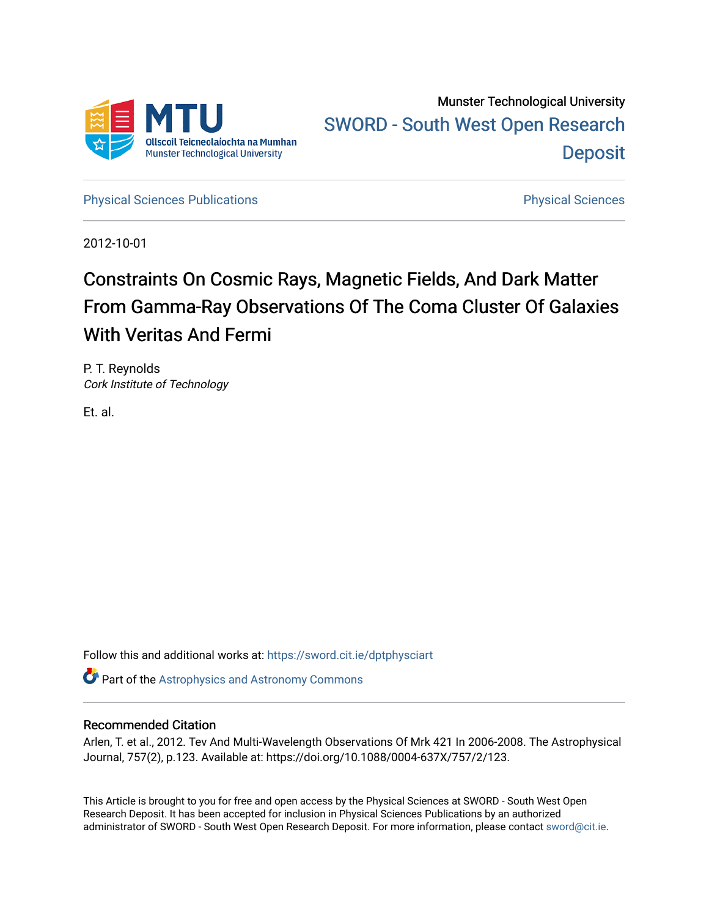

Munster Technological University [SWORD - South West Open Research](https://sword.cit.ie/)  **Deposit** 

[Physical Sciences Publications](https://sword.cit.ie/dptphysciart) **Physical Sciences** Physical Sciences

2012-10-01

# Constraints On Cosmic Rays, Magnetic Fields, And Dark Matter From Gamma-Ray Observations Of The Coma Cluster Of Galaxies With Veritas And Fermi

P. T. Reynolds Cork Institute of Technology

Et. al.

Follow this and additional works at: [https://sword.cit.ie/dptphysciart](https://sword.cit.ie/dptphysciart?utm_source=sword.cit.ie%2Fdptphysciart%2F40&utm_medium=PDF&utm_campaign=PDFCoverPages)

**Part of the Astrophysics and Astronomy Commons** 

# Recommended Citation

Arlen, T. et al., 2012. Tev And Multi-Wavelength Observations Of Mrk 421 In 2006-2008. The Astrophysical Journal, 757(2), p.123. Available at: https://doi.org/10.1088/0004-637X/757/2/123.

This Article is brought to you for free and open access by the Physical Sciences at SWORD - South West Open Research Deposit. It has been accepted for inclusion in Physical Sciences Publications by an authorized administrator of SWORD - South West Open Research Deposit. For more information, please contact [sword@cit.ie.](mailto:sword@cit.ie)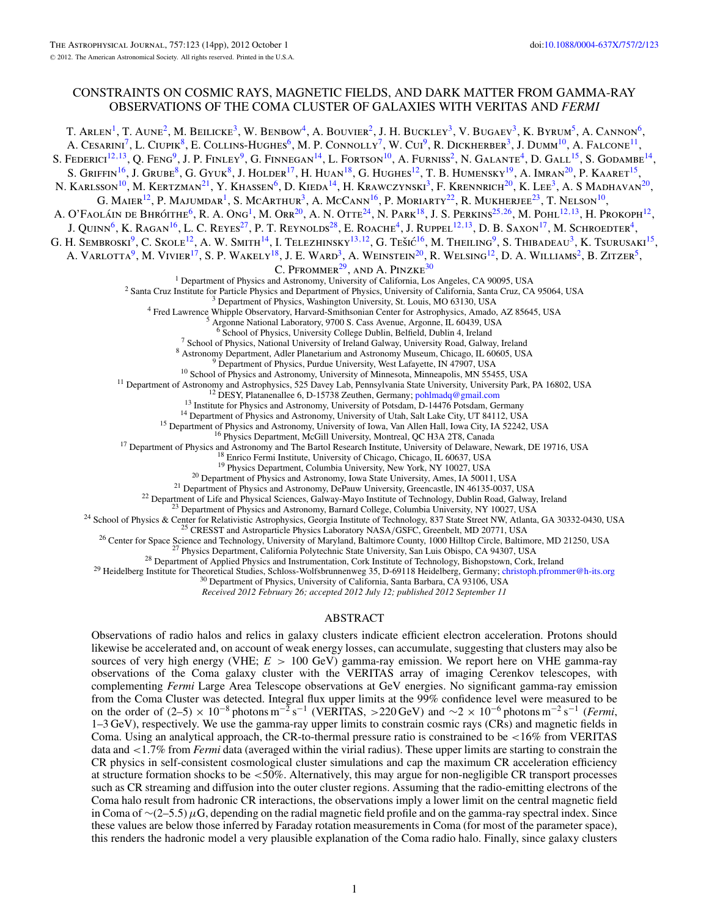## CONSTRAINTS ON COSMIC RAYS, MAGNETIC FIELDS, AND DARK MATTER FROM GAMMA-RAY OBSERVATIONS OF THE COMA CLUSTER OF GALAXIES WITH VERITAS AND *FERMI*

T. ARLEN<sup>1</sup>, T. AUNE<sup>2</sup>, M. BEILICKE<sup>3</sup>, W. BENBOW<sup>4</sup>, A. BOUVIER<sup>2</sup>, J. H. BUCKLEY<sup>3</sup>, V. BUGAEV<sup>3</sup>, K. BYRUM<sup>5</sup>, A. CANNON<sup>6</sup>, A. CESARINI<sup>7</sup>, L. CIUPIK<sup>8</sup>, E. COLLINS-HUGHES<sup>6</sup>, M. P. CONNOLLY<sup>7</sup>, W. CUI<sup>9</sup>, R. DICKHERBER<sup>3</sup>, J. DUMM<sup>10</sup>, A. FALCONE<sup>11</sup>, S. FEDERICI<sup>12, 13</sup>, Q. FENG<sup>9</sup>, J. P. FINLEY<sup>9</sup>, G. FINNEGAN<sup>14</sup>, L. FORTSON<sup>10</sup>, A. FURNISS<sup>2</sup>, N. GALANTE<sup>4</sup>, D. GALL<sup>15</sup>, S. GODAMBE<sup>14</sup>, S. GRIFFIN<sup>16</sup>, J. GRUBE<sup>8</sup>, G. GYUK<sup>8</sup>, J. HOLDER<sup>17</sup>, H. HUAN<sup>18</sup>, G. HUGHES<sup>12</sup>, T. B. HUMENSKY<sup>19</sup>, A. IMRAN<sup>20</sup>, P. KAARET<sup>15</sup>, N. KARLSSON<sup>10</sup>, M. KERTZMAN<sup>21</sup>, Y. KHASSEN<sup>6</sup>, D. KIEDA<sup>14</sup>, H. KRAWCZYNSKI<sup>3</sup>, F. KRENNRICH<sup>20</sup>, K. LEE<sup>3</sup>, A. S MADHAVAN<sup>20</sup>, G. MAIER<sup>12</sup>, P. MAJUMDAR<sup>1</sup>, S. MCARTHUR<sup>3</sup>, A. McCann<sup>16</sup>, P. MORIARTY<sup>22</sup>, R. MUKHERJEE<sup>23</sup>, T. NELSON<sup>10</sup>, A. O'FAOLÁIN DE BHRÓITHE<sup>6</sup>, R. A. Ong<sup>1</sup>, M. Orr<sup>20</sup>, A. N. OTTE<sup>24</sup>, N. PARK<sup>18</sup>, J. S. PERKINS<sup>25,26</sup>, M. POHL<sup>12,13</sup>, H. PROKOPH<sup>12</sup>, J. QUINN<sup>6</sup>, K. RAGAN<sup>16</sup>, L. C. REYES<sup>27</sup>, P. T. REYNOLDS<sup>28</sup>, E. ROACHE<sup>4</sup>, J. RUPPEL<sup>12,13</sup>, D. B. SAXON<sup>17</sup>, M. SCHROEDTER<sup>4</sup>, G. H. SEMBROSKI<sup>9</sup>, C. SKOLE<sup>12</sup>, A. W. SMITH<sup>14</sup>, I. TELEZHINSKY<sup>13,12</sup>, G. TEŠIĆ<sup>16</sup>, M. THEILING<sup>9</sup>, S. THIBADEAU<sup>3</sup>, K. TSURUSAKI<sup>15</sup>, A. VARLOTTA<sup>9</sup>, M. VIVIER<sup>17</sup>, S. P. WAKELY<sup>18</sup>, J. E. WARD<sup>3</sup>, A. WEINSTEIN<sup>20</sup>, R. WELSING<sup>12</sup>, D. A. WILLIAMS<sup>2</sup>, B. ZITZER<sup>5</sup>,  $C.$  PFROMMER<sup>29</sup>, AND A. PINZKE<sup>30</sup><br><sup>1</sup> Department of Physics and Astronomy, University of California, Los Angeles, CA 90095, USA <sup>2</sup> Santa Cruz Institute for Particle Physics and Department of Physics, University of California, Santa Cruz, CA 95064, USA <sup>3</sup> Department of Physics, Washington University, St. Louis, MO 63130, USA <sup>4</sup> Fred Lawrence Whi <sup>6</sup> School of Physics, Nuiversity Otlege Dubbin, Belfield, Dublin 4, Ireland<br>
<sup>7</sup> School of Physics, Nuiversity of Ireland Galway, University Road, Galway, Ireland<br>
<sup>7</sup> School of Physics, Nuiversity of Ireland Galway, Uni *Received 2012 February 26; accepted 2012 July 12; published 2012 September 11*

### ABSTRACT

Observations of radio halos and relics in galaxy clusters indicate efficient electron acceleration. Protons should likewise be accelerated and, on account of weak energy losses, can accumulate, suggesting that clusters may also be sources of very high energy (VHE; *E >* 100 GeV) gamma-ray emission. We report here on VHE gamma-ray observations of the Coma galaxy cluster with the VERITAS array of imaging Cerenkov telescopes, with complementing *Fermi* Large Area Telescope observations at GeV energies. No significant gamma-ray emission from the Coma Cluster was detected. Integral flux upper limits at the 99% confidence level were measured to be on the order of (2–5) × 10<sup>-8</sup> photons m<sup>-2</sup> s<sup>-1</sup> (VERITAS, >220 GeV) and ∼2 × 10<sup>-6</sup> photons m<sup>-2</sup> s<sup>-1</sup> (*Fermi*, 1–3 GeV), respectively. We use the gamma-ray upper limits to constrain cosmic rays (CRs) and magnetic fields in Coma. Using an analytical approach, the CR-to-thermal pressure ratio is constrained to be *<*16% from VERITAS data and *<*1*.*7% from *Fermi* data (averaged within the virial radius). These upper limits are starting to constrain the CR physics in self-consistent cosmological cluster simulations and cap the maximum CR acceleration efficiency at structure formation shocks to be *<*50%. Alternatively, this may argue for non-negligible CR transport processes such as CR streaming and diffusion into the outer cluster regions. Assuming that the radio-emitting electrons of the Coma halo result from hadronic CR interactions, the observations imply a lower limit on the central magnetic field in Coma of ∼(2–5*.*5)*μ*G, depending on the radial magnetic field profile and on the gamma-ray spectral index. Since these values are below those inferred by Faraday rotation measurements in Coma (for most of the parameter space), this renders the hadronic model a very plausible explanation of the Coma radio halo. Finally, since galaxy clusters

1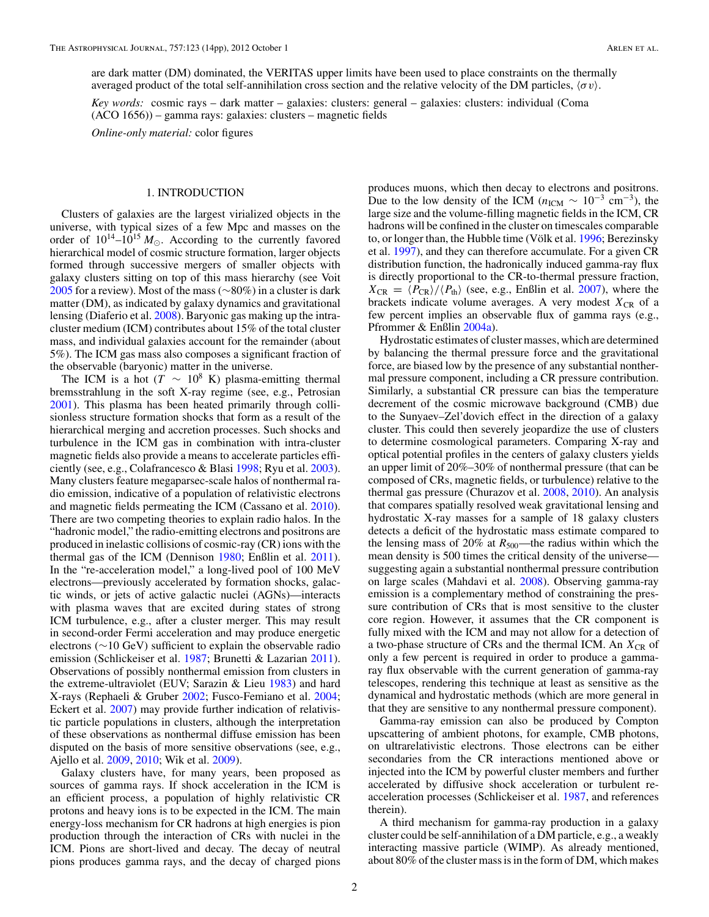are dark matter (DM) dominated, the VERITAS upper limits have been used to place constraints on the thermally averaged product of the total self-annihilation cross section and the relative velocity of the DM particles, *σv*.

*Key words:* cosmic rays – dark matter – galaxies: clusters: general – galaxies: clusters: individual (Coma (ACO 1656)) – gamma rays: galaxies: clusters – magnetic fields

*Online-only material:* color figures

#### 1. INTRODUCTION

Clusters of galaxies are the largest virialized objects in the universe, with typical sizes of a few Mpc and masses on the order of  $10^{14}$ – $10^{15}$   $M_{\odot}$ . According to the currently favored hierarchical model of cosmic structure formation, larger objects formed through successive mergers of smaller objects with galaxy clusters sitting on top of this mass hierarchy (see Voit [2005](#page-14-0) for a review). Most of the mass (∼80%) in a cluster is dark matter (DM), as indicated by galaxy dynamics and gravitational lensing (Diaferio et al. [2008\)](#page-13-0). Baryonic gas making up the intracluster medium (ICM) contributes about 15% of the total cluster mass, and individual galaxies account for the remainder (about 5%). The ICM gas mass also composes a significant fraction of the observable (baryonic) matter in the universe.

The ICM is a hot ( $T \sim 10^8$  K) plasma-emitting thermal bremsstrahlung in the soft X-ray regime (see, e.g., Petrosian [2001\)](#page-14-0). This plasma has been heated primarily through collisionless structure formation shocks that form as a result of the hierarchical merging and accretion processes. Such shocks and turbulence in the ICM gas in combination with intra-cluster magnetic fields also provide a means to accelerate particles efficiently (see, e.g., Colafrancesco & Blasi [1998;](#page-13-0) Ryu et al. [2003\)](#page-14-0). Many clusters feature megaparsec-scale halos of nonthermal radio emission, indicative of a population of relativistic electrons and magnetic fields permeating the ICM (Cassano et al. [2010\)](#page-13-0). There are two competing theories to explain radio halos. In the "hadronic model," the radio-emitting electrons and positrons are produced in inelastic collisions of cosmic-ray (CR) ions with the thermal gas of the ICM (Dennison [1980;](#page-13-0) Enßlin et al. [2011\)](#page-14-0). In the "re-acceleration model," a long-lived pool of 100 MeV electrons—previously accelerated by formation shocks, galactic winds, or jets of active galactic nuclei (AGNs)—interacts with plasma waves that are excited during states of strong ICM turbulence, e.g., after a cluster merger. This may result in second-order Fermi acceleration and may produce energetic electrons (∼10 GeV) sufficient to explain the observable radio emission (Schlickeiser et al. [1987;](#page-14-0) Brunetti & Lazarian [2011\)](#page-13-0). Observations of possibly nonthermal emission from clusters in the extreme-ultraviolet (EUV; Sarazin & Lieu [1983\)](#page-14-0) and hard X-rays (Rephaeli & Gruber [2002;](#page-14-0) Fusco-Femiano et al. [2004;](#page-14-0) Eckert et al. [2007\)](#page-14-0) may provide further indication of relativistic particle populations in clusters, although the interpretation of these observations as nonthermal diffuse emission has been disputed on the basis of more sensitive observations (see, e.g., Ajello et al. [2009,](#page-13-0) [2010;](#page-13-0) Wik et al. [2009\)](#page-14-0).

Galaxy clusters have, for many years, been proposed as sources of gamma rays. If shock acceleration in the ICM is an efficient process, a population of highly relativistic CR protons and heavy ions is to be expected in the ICM. The main energy-loss mechanism for CR hadrons at high energies is pion production through the interaction of CRs with nuclei in the ICM. Pions are short-lived and decay. The decay of neutral pions produces gamma rays, and the decay of charged pions

produces muons, which then decay to electrons and positrons. Due to the low density of the ICM ( $n_{\text{ICM}} \sim 10^{-3} \text{ cm}^{-3}$ ), the large size and the volume-filling magnetic fields in the ICM, CR hadrons will be confined in the cluster on timescales comparable to, or longer than, the Hubble time (Völk et al.  $1996$ ; Berezinsky et al. [1997\)](#page-13-0), and they can therefore accumulate. For a given CR distribution function, the hadronically induced gamma-ray flux is directly proportional to the CR-to-thermal pressure fraction,  $X_{CR} = \langle P_{CR} \rangle / \langle P_{th} \rangle$  (see, e.g., Enßlin et al. [2007\)](#page-14-0), where the brackets indicate volume averages. A very modest  $X_{CR}$  of a few percent implies an observable flux of gamma rays (e.g., Pfrommer & Enßlin [2004a\)](#page-14-0).

Hydrostatic estimates of cluster masses, which are determined by balancing the thermal pressure force and the gravitational force, are biased low by the presence of any substantial nonthermal pressure component, including a CR pressure contribution. Similarly, a substantial CR pressure can bias the temperature decrement of the cosmic microwave background (CMB) due to the Sunyaev–Zel'dovich effect in the direction of a galaxy cluster. This could then severely jeopardize the use of clusters to determine cosmological parameters. Comparing X-ray and optical potential profiles in the centers of galaxy clusters yields an upper limit of 20%–30% of nonthermal pressure (that can be composed of CRs, magnetic fields, or turbulence) relative to the thermal gas pressure (Churazov et al. [2008,](#page-13-0) [2010\)](#page-13-0). An analysis that compares spatially resolved weak gravitational lensing and hydrostatic X-ray masses for a sample of 18 galaxy clusters detects a deficit of the hydrostatic mass estimate compared to the lensing mass of 20% at  $R_{500}$ —the radius within which the mean density is 500 times the critical density of the universe suggesting again a substantial nonthermal pressure contribution on large scales (Mahdavi et al. [2008\)](#page-14-0). Observing gamma-ray emission is a complementary method of constraining the pressure contribution of CRs that is most sensitive to the cluster core region. However, it assumes that the CR component is fully mixed with the ICM and may not allow for a detection of a two-phase structure of CRs and the thermal ICM. An  $X_{CR}$  of only a few percent is required in order to produce a gammaray flux observable with the current generation of gamma-ray telescopes, rendering this technique at least as sensitive as the dynamical and hydrostatic methods (which are more general in that they are sensitive to any nonthermal pressure component).

Gamma-ray emission can also be produced by Compton upscattering of ambient photons, for example, CMB photons, on ultrarelativistic electrons. Those electrons can be either secondaries from the CR interactions mentioned above or injected into the ICM by powerful cluster members and further accelerated by diffusive shock acceleration or turbulent reacceleration processes (Schlickeiser et al. [1987,](#page-14-0) and references therein).

A third mechanism for gamma-ray production in a galaxy cluster could be self-annihilation of a DM particle, e.g., a weakly interacting massive particle (WIMP). As already mentioned, about 80% of the cluster mass is in the form of DM, which makes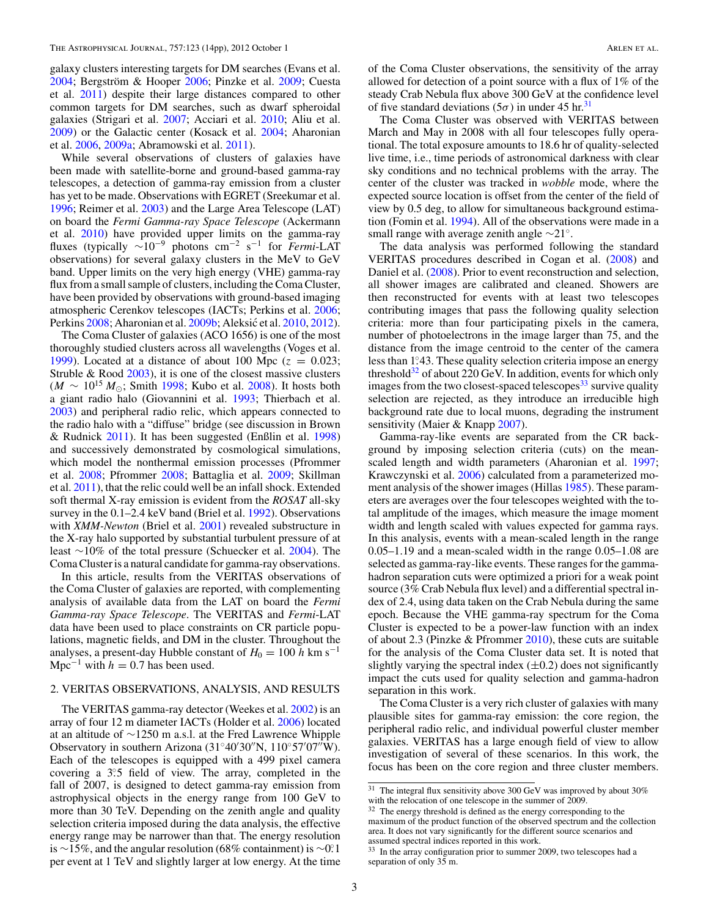galaxy clusters interesting targets for DM searches (Evans et al.  $2004$ ; Bergström & Hooper  $2006$ ; Pinzke et al.  $2009$ ; Cuesta et al. [2011\)](#page-13-0) despite their large distances compared to other common targets for DM searches, such as dwarf spheroidal galaxies (Strigari et al. [2007;](#page-14-0) Acciari et al. [2010;](#page-13-0) Aliu et al. [2009\)](#page-13-0) or the Galactic center (Kosack et al. [2004;](#page-14-0) Aharonian et al. [2006,](#page-13-0) [2009a;](#page-13-0) Abramowski et al. [2011\)](#page-13-0).

While several observations of clusters of galaxies have been made with satellite-borne and ground-based gamma-ray telescopes, a detection of gamma-ray emission from a cluster has yet to be made. Observations with EGRET (Sreekumar et al. [1996;](#page-14-0) Reimer et al. [2003\)](#page-14-0) and the Large Area Telescope (LAT) on board the *Fermi Gamma-ray Space Telescope* (Ackermann et al. [2010\)](#page-13-0) have provided upper limits on the gamma-ray fluxes (typically <sup>∼</sup>10−<sup>9</sup> photons cm−<sup>2</sup> <sup>s</sup>−<sup>1</sup> for *Fermi*-LAT observations) for several galaxy clusters in the MeV to GeV band. Upper limits on the very high energy (VHE) gamma-ray flux from a small sample of clusters, including the Coma Cluster, have been provided by observations with ground-based imaging atmospheric Cerenkov telescopes (IACTs; Perkins et al. [2006;](#page-14-0) Perkins [2008;](#page-14-0) Aharonian et al. [2009b;](#page-13-0) Aleksić et al. [2010,](#page-13-0) [2012\)](#page-13-0).

The Coma Cluster of galaxies (ACO 1656) is one of the most thoroughly studied clusters across all wavelengths (Voges et al. [1999\)](#page-14-0). Located at a distance of about 100 Mpc  $(z = 0.023;$ Struble & Rood [2003\)](#page-14-0), it is one of the closest massive clusters  $(M \sim 10^{15} M_{\odot}$ ; Smith [1998;](#page-14-0) Kubo et al. [2008\)](#page-14-0). It hosts both a giant radio halo (Giovannini et al. [1993;](#page-14-0) Thierbach et al. [2003\)](#page-14-0) and peripheral radio relic, which appears connected to the radio halo with a "diffuse" bridge (see discussion in Brown & Rudnick [2011\)](#page-13-0). It has been suggested (Enßlin et al. [1998\)](#page-14-0) and successively demonstrated by cosmological simulations, which model the nonthermal emission processes (Pfrommer et al. [2008;](#page-14-0) Pfrommer [2008;](#page-14-0) Battaglia et al. [2009;](#page-13-0) Skillman et al. [2011\)](#page-14-0), that the relic could well be an infall shock. Extended soft thermal X-ray emission is evident from the *ROSAT* all-sky survey in the 0.1–2.4 keV band (Briel et al. [1992\)](#page-13-0). Observations with *XMM-Newton* (Briel et al. [2001\)](#page-13-0) revealed substructure in the X-ray halo supported by substantial turbulent pressure of at least ∼10% of the total pressure (Schuecker et al. [2004\)](#page-14-0). The Coma Cluster is a natural candidate for gamma-ray observations.

In this article, results from the VERITAS observations of the Coma Cluster of galaxies are reported, with complementing analysis of available data from the LAT on board the *Fermi Gamma-ray Space Telescope*. The VERITAS and *Fermi*-LAT data have been used to place constraints on CR particle populations, magnetic fields, and DM in the cluster. Throughout the analyses, a present-day Hubble constant of  $H_0 = 100 h \text{ km s}^{-1}$ Mpc<sup> $-1$ </sup> with  $h = 0.7$  has been used.

#### 2. VERITAS OBSERVATIONS, ANALYSIS, AND RESULTS

The VERITAS gamma-ray detector (Weekes et al. [2002\)](#page-14-0) is an array of four 12 m diameter IACTs (Holder et al. [2006\)](#page-14-0) located at an altitude of ∼1250 m a.s.l. at the Fred Lawrence Whipple Observatory in southern Arizona  $(31°40'30''N, 110°57'07''W)$ . Each of the telescopes is equipped with a 499 pixel camera covering a 3°.5 field of view. The array, completed in the fall of 2007, is designed to detect gamma-ray emission from astrophysical objects in the energy range from 100 GeV to more than 30 TeV. Depending on the zenith angle and quality selection criteria imposed during the data analysis, the effective energy range may be narrower than that. The energy resolution is ∼15%, and the angular resolution (68% containment) is ∼0*.* ◦1 per event at 1 TeV and slightly larger at low energy. At the time

of the Coma Cluster observations, the sensitivity of the array allowed for detection of a point source with a flux of 1% of the steady Crab Nebula flux above 300 GeV at the confidence level of five standard deviations ( $5\sigma$ ) in under 45 hr.<sup>31</sup>

The Coma Cluster was observed with VERITAS between March and May in 2008 with all four telescopes fully operational. The total exposure amounts to 18.6 hr of quality-selected live time, i.e., time periods of astronomical darkness with clear sky conditions and no technical problems with the array. The center of the cluster was tracked in *wobble* mode, where the expected source location is offset from the center of the field of view by 0.5 deg, to allow for simultaneous background estimation (Fomin et al. [1994\)](#page-14-0). All of the observations were made in a small range with average zenith angle ∼21◦.

The data analysis was performed following the standard VERITAS procedures described in Cogan et al. [\(2008\)](#page-13-0) and Daniel et al. [\(2008\)](#page-13-0). Prior to event reconstruction and selection, all shower images are calibrated and cleaned. Showers are then reconstructed for events with at least two telescopes contributing images that pass the following quality selection criteria: more than four participating pixels in the camera, number of photoelectrons in the image larger than 75, and the distance from the image centroid to the center of the camera less than 1°43. These quality selection criteria impose an energy threshold $32$  of about 220 GeV. In addition, events for which only images from the two closest-spaced telescopes<sup>33</sup> survive quality selection are rejected, as they introduce an irreducible high background rate due to local muons, degrading the instrument sensitivity (Maier & Knapp [2007\)](#page-14-0).

Gamma-ray-like events are separated from the CR background by imposing selection criteria (cuts) on the meanscaled length and width parameters (Aharonian et al. [1997;](#page-13-0) Krawczynski et al. [2006\)](#page-14-0) calculated from a parameterized moment analysis of the shower images (Hillas [1985\)](#page-14-0). These parameters are averages over the four telescopes weighted with the total amplitude of the images, which measure the image moment width and length scaled with values expected for gamma rays. In this analysis, events with a mean-scaled length in the range 0.05–1.19 and a mean-scaled width in the range 0.05–1.08 are selected as gamma-ray-like events. These ranges for the gammahadron separation cuts were optimized a priori for a weak point source (3% Crab Nebula flux level) and a differential spectral index of 2.4, using data taken on the Crab Nebula during the same epoch. Because the VHE gamma-ray spectrum for the Coma Cluster is expected to be a power-law function with an index of about 2.3 (Pinzke & Pfrommer [2010\)](#page-14-0), these cuts are suitable for the analysis of the Coma Cluster data set. It is noted that slightly varying the spectral index  $(\pm 0.2)$  does not significantly impact the cuts used for quality selection and gamma-hadron separation in this work.

The Coma Cluster is a very rich cluster of galaxies with many plausible sites for gamma-ray emission: the core region, the peripheral radio relic, and individual powerful cluster member galaxies. VERITAS has a large enough field of view to allow investigation of several of these scenarios. In this work, the focus has been on the core region and three cluster members.

 $^{31}$  The integral flux sensitivity above 300 GeV was improved by about  $30\%$ with the relocation of one telescope in the summer of  $2009$ .

<sup>&</sup>lt;sup>32</sup> The energy threshold is defined as the energy corresponding to the maximum of the product function of the observed spectrum and the collection area. It does not vary significantly for the different source scenarios and assumed spectral indices reported in this work.

<sup>33</sup> In the array configuration prior to summer 2009, two telescopes had a separation of only 35 m.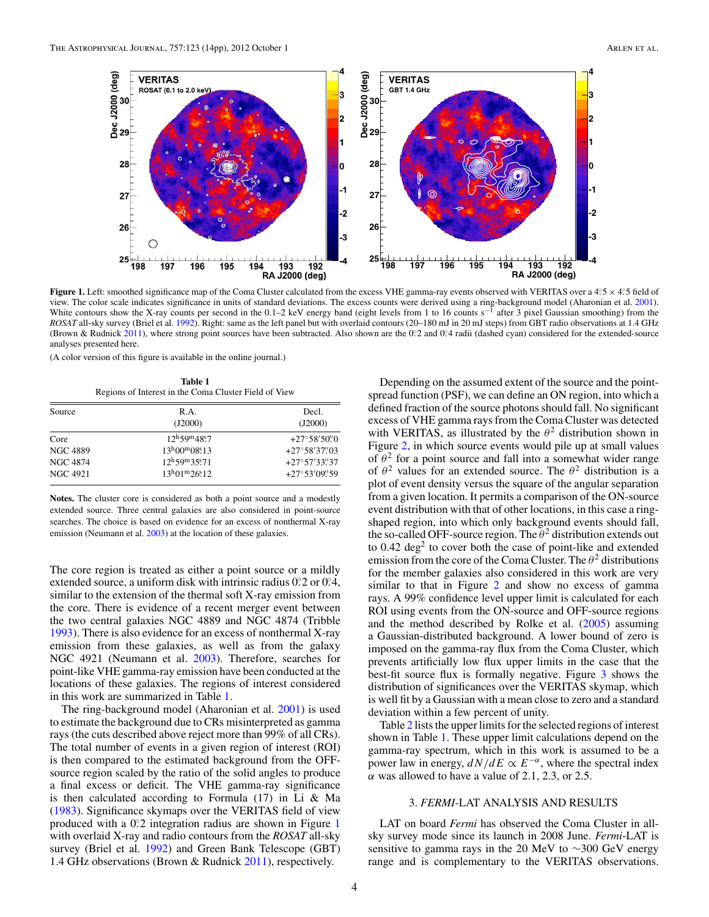<span id="page-4-0"></span>

**Figure 1.** Left: smoothed significance map of the Coma Cluster calculated from the excess VHE gamma-ray events observed with VERITAS over a 4°5 × 4°5 field of view. The color scale indicates significance in units of standard deviations. The excess counts were derived using a ring-background model (Aharonian et al. [2001\)](#page-13-0).<br>White contours show the X-ray counts per second in the 0.1 *ROSAT* all-sky survey (Briel et al. [1992\)](#page-13-0). Right: same as the left panel but with overlaid contours (20–180 mJ in 20 mJ steps) from GBT radio observations at 1.4 GHz (Brown & Rudnick [2011\)](#page-13-0), where strong point sources have been subtracted. Also shown are the 0?2 and 0?4 radii (dashed cyan) considered for the extended-source analyses presented here.

(A color version of this figure is available in the online journal.)

**Table 1** Regions of Interest in the Coma Cluster Field of View

| Source          | R.A.                                            | Decl.                   |
|-----------------|-------------------------------------------------|-------------------------|
|                 | (J2000)                                         | (J2000)                 |
| Core            | $12^{\rm h}59^{\rm m}48^{\rm s}7$               | $+27^{\circ}58'50''$    |
| <b>NGC 4889</b> | $13^{\rm h}00^{\rm m}08^{\rm s}13$              | $+27^{\circ}58'37''03$  |
| <b>NGC 4874</b> | $12^{\rm h}59^{\rm m}35\rlap{.}^{\rm s}\!\!.71$ | $+27^{\circ}57'33''37$  |
| NGC 4921        | $13^{\rm h}01^{\rm m}26\rlap{.}^{\rm s}12$      | $+27^{\circ}53'09''.59$ |

**Notes.** The cluster core is considered as both a point source and a modestly extended source. Three central galaxies are also considered in point-source searches. The choice is based on evidence for an excess of nonthermal X-ray emission (Neumann et al. [2003\)](#page-14-0) at the location of these galaxies.

The core region is treated as either a point source or a mildly extended source, a uniform disk with intrinsic radius  $0^\circ$ ? or  $0^\circ$ ?4, similar to the extension of the thermal soft X-ray emission from the core. There is evidence of a recent merger event between the two central galaxies NGC 4889 and NGC 4874 (Tribble [1993\)](#page-14-0). There is also evidence for an excess of nonthermal X-ray emission from these galaxies, as well as from the galaxy NGC 4921 (Neumann et al. [2003\)](#page-14-0). Therefore, searches for point-like VHE gamma-ray emission have been conducted at the locations of these galaxies. The regions of interest considered in this work are summarized in Table 1.

The ring-background model (Aharonian et al. [2001\)](#page-13-0) is used to estimate the background due to CRs misinterpreted as gamma rays (the cuts described above reject more than 99% of all CRs). The total number of events in a given region of interest (ROI) is then compared to the estimated background from the OFFsource region scaled by the ratio of the solid angles to produce a final excess or deficit. The VHE gamma-ray significance is then calculated according to Formula (17) in Li & Ma [\(1983\)](#page-14-0). Significance skymaps over the VERITAS field of view produced with a 0.2 integration radius are shown in Figure 1 with overlaid X-ray and radio contours from the *ROSAT* all-sky survey (Briel et al. [1992\)](#page-13-0) and Green Bank Telescope (GBT) 1.4 GHz observations (Brown & Rudnick [2011\)](#page-13-0), respectively.

Depending on the assumed extent of the source and the pointspread function (PSF), we can define an ON region, into which a defined fraction of the source photons should fall. No significant excess of VHE gamma rays from the Coma Cluster was detected with VERITAS, as illustrated by the  $\theta^2$  distribution shown in Figure [2,](#page-5-0) in which source events would pile up at small values of  $\theta^2$  for a point source and fall into a somewhat wider range of  $\theta^2$  values for an extended source. The  $\theta^2$  distribution is a plot of event density versus the square of the angular separation from a given location. It permits a comparison of the ON-source event distribution with that of other locations, in this case a ringshaped region, into which only background events should fall, the so-called OFF-source region. The  $\theta^2$  distribution extends out to  $0.42 \text{ deg}^2$  to cover both the case of point-like and extended emission from the core of the Coma Cluster. The  $\theta^2$  distributions for the member galaxies also considered in this work are very similar to that in Figure [2](#page-5-0) and show no excess of gamma rays. A 99% confidence level upper limit is calculated for each ROI using events from the ON-source and OFF-source regions and the method described by Rolke et al.  $(2005)$  assuming a Gaussian-distributed background. A lower bound of zero is imposed on the gamma-ray flux from the Coma Cluster, which prevents artificially low flux upper limits in the case that the best-fit source flux is formally negative. Figure [3](#page-5-0) shows the distribution of significances over the VERITAS skymap, which is well fit by a Gaussian with a mean close to zero and a standard deviation within a few percent of unity.

Table [2](#page-6-0) lists the upper limits for the selected regions of interest shown in Table 1. These upper limit calculations depend on the gamma-ray spectrum, which in this work is assumed to be a power law in energy,  $dN/dE \propto E^{-\alpha}$ , where the spectral index *α* was allowed to have a value of 2.1, 2.3, or 2.5.

#### 3. *FERMI*-LAT ANALYSIS AND RESULTS

LAT on board *Fermi* has observed the Coma Cluster in allsky survey mode since its launch in 2008 June. *Fermi*-LAT is sensitive to gamma rays in the 20 MeV to ∼300 GeV energy range and is complementary to the VERITAS observations.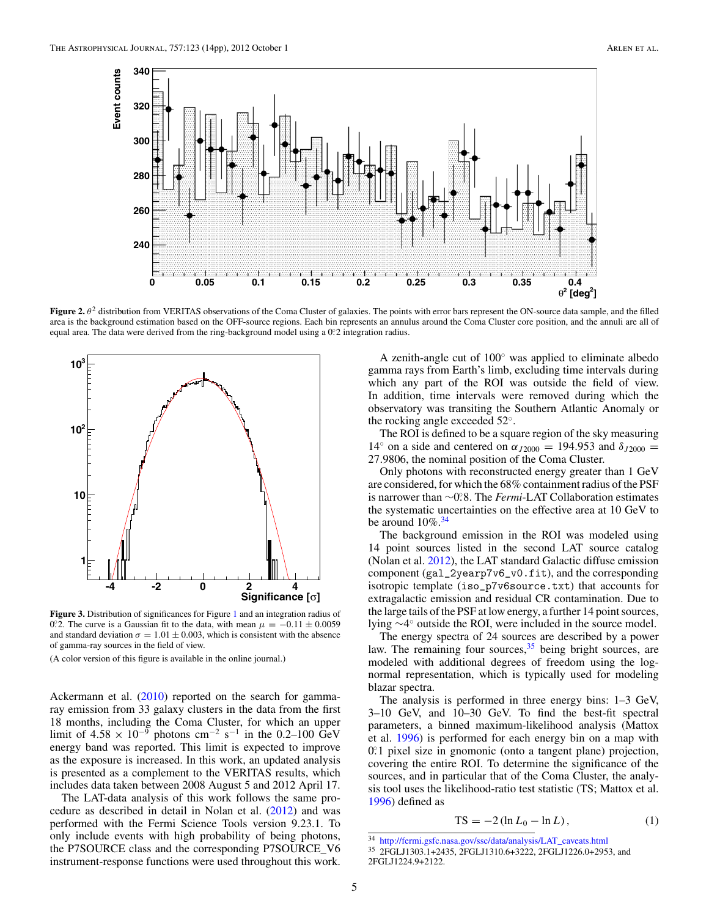<span id="page-5-0"></span>

**Figure 2.**  $\theta^2$  distribution from VERITAS observations of the Coma Cluster of galaxies. The points with error bars represent the ON-source data sample, and the filled area is the background estimation based on the OFF-source regions. Each bin represents an annulus around the Coma Cluster core position, and the annuli are all of equal area. The data were derived from the ring-background model using a 0. 2 integration radius.



**Figure 3.** Distribution of significances for Figure [1](#page-4-0) and an integration radius of 0°.2. The curve is a Gaussian fit to the data, with mean  $\mu = -0.11 \pm 0.0059$ and standard deviation  $\sigma = 1.01 \pm 0.003$ , which is consistent with the absence of gamma-ray sources in the field of view.

(A color version of this figure is available in the online journal.)

Ackermann et al. [\(2010\)](#page-13-0) reported on the search for gammaray emission from 33 galaxy clusters in the data from the first 18 months, including the Coma Cluster, for which an upper limit of  $4.58 \times 10^{-9}$  photons cm<sup>-2</sup> s<sup>-1</sup> in the 0.2–100 GeV energy band was reported. This limit is expected to improve as the exposure is increased. In this work, an updated analysis is presented as a complement to the VERITAS results, which includes data taken between 2008 August 5 and 2012 April 17.

The LAT-data analysis of this work follows the same procedure as described in detail in Nolan et al. [\(2012\)](#page-14-0) and was performed with the Fermi Science Tools version 9.23.1. To only include events with high probability of being photons, the P7SOURCE class and the corresponding P7SOURCE\_V6 instrument-response functions were used throughout this work.

A zenith-angle cut of 100◦ was applied to eliminate albedo gamma rays from Earth's limb, excluding time intervals during which any part of the ROI was outside the field of view. In addition, time intervals were removed during which the observatory was transiting the Southern Atlantic Anomaly or the rocking angle exceeded 52◦.

The ROI is defined to be a square region of the sky measuring 14<sup>°</sup> on a side and centered on  $\alpha_{J2000} = 194.953$  and  $\delta_{J2000} =$ 27*.*9806, the nominal position of the Coma Cluster.

Only photons with reconstructed energy greater than 1 GeV are considered, for which the 68% containment radius of the PSF is narrower than ∼0*.* ◦8. The *Fermi*-LAT Collaboration estimates the systematic uncertainties on the effective area at 10 GeV to be around  $10\%$ .  $34$ 

The background emission in the ROI was modeled using 14 point sources listed in the second LAT source catalog (Nolan et al. [2012\)](#page-14-0), the LAT standard Galactic diffuse emission component (gal\_2yearp7v6\_v0.fit), and the corresponding isotropic template (iso\_p7v6source.txt) that accounts for extragalactic emission and residual CR contamination. Due to the large tails of the PSF at low energy, a further 14 point sources, lying ∼4◦ outside the ROI, were included in the source model.

The energy spectra of 24 sources are described by a power law. The remaining four sources,  $35$  being bright sources, are modeled with additional degrees of freedom using the lognormal representation, which is typically used for modeling blazar spectra.

The analysis is performed in three energy bins: 1–3 GeV, 3–10 GeV, and 10–30 GeV. To find the best-fit spectral parameters, a binned maximum-likelihood analysis (Mattox et al. [1996\)](#page-14-0) is performed for each energy bin on a map with 0.<sup>2</sup>1 pixel size in gnomonic (onto a tangent plane) projection, covering the entire ROI. To determine the significance of the sources, and in particular that of the Coma Cluster, the analysis tool uses the likelihood-ratio test statistic (TS; Mattox et al. [1996\)](#page-14-0) defined as

$$
TS = -2\left(\ln L_0 - \ln L\right),\tag{1}
$$

<sup>34</sup> [http://fermi.gsfc.nasa.gov/ssc/data/analysis/LAT\\_caveats.html](http://fermi.gsfc.nasa.gov/ssc/data/analysis/LAT_caveats.html)

<sup>35</sup> 2FGLJ1303.1+2435, 2FGLJ1310.6+3222, 2FGLJ1226.0+2953, and 2FGLJ1224.9+2122.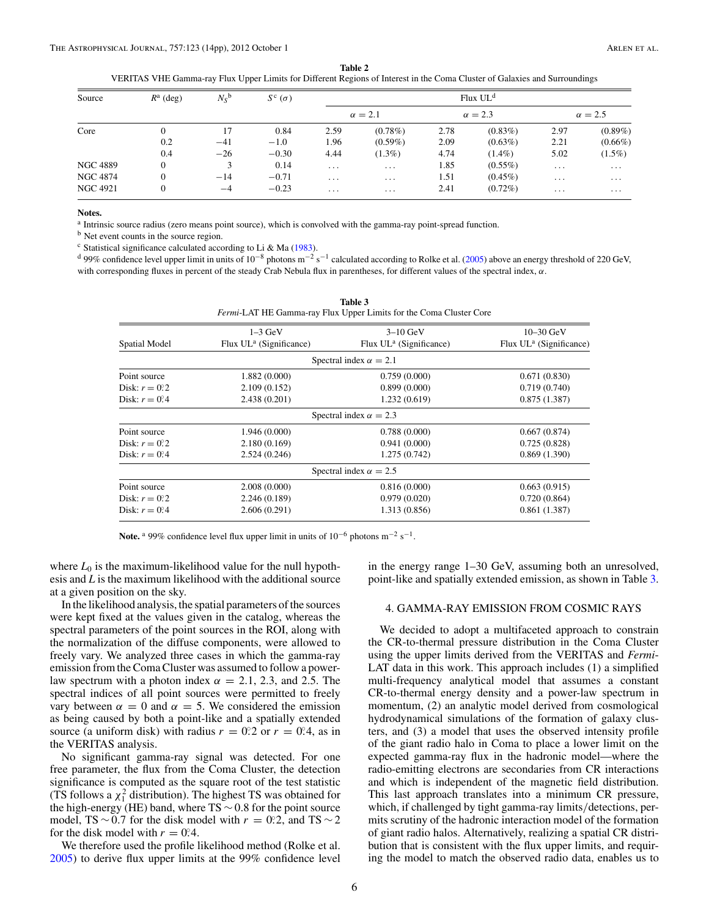**Table 2**

VERITAS VHE Gamma-ray Flux Upper Limits for Different Regions of Interest in the Coma Cluster of Galaxies and Surroundings

<span id="page-6-0"></span>

| Source   | $R^a$ (deg) | $N_S^{\mathsf{b}}$ | $S^{\rm c}(\sigma)$ |          | Flux UL <sup>d</sup> |      |                |          |                |
|----------|-------------|--------------------|---------------------|----------|----------------------|------|----------------|----------|----------------|
|          |             |                    |                     |          | $\alpha = 2.1$       |      | $\alpha = 2.3$ |          | $\alpha = 2.5$ |
| Core     |             | 17                 | 0.84                | 2.59     | $(0.78\%)$           | 2.78 | $(0.83\%)$     | 2.97     | $(0.89\%)$     |
|          | 0.2         | $-41$              | $-1.0$              | 1.96     | $(0.59\%)$           | 2.09 | $(0.63\%)$     | 2.21     | $(0.66\%)$     |
|          | 0.4         | $-26$              | $-0.30$             | 4.44     | $(1.3\%)$            | 4.74 | $(1.4\%)$      | 5.02     | $(1.5\%)$      |
| NGC 4889 |             | 3                  | 0.14                | $\cdot$  | $\cdots$             | 1.85 | $(0.55\%)$     | $\cdots$ | $\cdots$       |
| NGC 4874 |             | $-14$              | $-0.71$             | $\cdots$ | $\cdots$             | 1.51 | $(0.45\%)$     | $\cdots$ | $\cdots$       |
| NGC 4921 |             | $-4$               | $-0.23$             | $\cdots$ | $\cdots$             | 2.41 | $(0.72\%)$     | $\cdots$ | $\cdots$       |

#### **Notes.**

a Intrinsic source radius (zero means point source), which is convolved with the gamma-ray point-spread function.

<sup>b</sup> Net event counts in the source region.

 $\textdegree$  Statistical significance calculated according to Li & Ma [\(1983\)](#page-14-0).

<sup>d</sup> 99% confidence level upper limit in units of 10<sup>-8</sup> photons m<sup>-2</sup> s<sup>-1</sup> calculated according to Rolke et al. [\(2005\)](#page-14-0) above an energy threshold of 220 GeV, with corresponding fluxes in percent of the steady Crab Nebula flux in parentheses, for different values of the spectral index, *α*.

|                 |                            | Table 3<br>Fermi-LAT HE Gamma-ray Flux Upper Limits for the Coma Cluster Core |                            |
|-----------------|----------------------------|-------------------------------------------------------------------------------|----------------------------|
|                 | $1-3$ GeV                  | $3-10$ GeV                                                                    | $10 - 30 \text{ GeV}$      |
| Spatial Model   | Flux $UL^a$ (Significance) | Flux $UL^a$ (Significance)                                                    | Flux $UL^a$ (Significance) |
|                 |                            | Spectral index $\alpha = 2.1$                                                 |                            |
| Point source    | 1.882 (0.000)              | 0.759(0.000)                                                                  | 0.671(0.830)               |
| Disk: $r = 0.2$ | 2.109(0.152)               | 0.899(0.000)                                                                  | 0.719(0.740)               |
| Disk: $r = 0.4$ | 2.438(0.201)               | 1.232(0.619)                                                                  | 0.875(1.387)               |
|                 |                            | Spectral index $\alpha = 2.3$                                                 |                            |
| Point source    | 1.946 (0.000)              | 0.788(0.000)                                                                  | 0.667(0.874)               |
| Disk: $r = 0.2$ | 2.180(0.169)               | 0.941(0.000)                                                                  | 0.725(0.828)               |
| Disk: $r = 0.4$ | 2.524(0.246)               | 1.275(0.742)                                                                  | 0.869(1.390)               |
|                 |                            | Spectral index $\alpha = 2.5$                                                 |                            |
| Point source    | 2.008(0.000)               | 0.816(0.000)                                                                  | 0.663(0.915)               |
| Disk: $r = 0.2$ | 2.246(0.189)               | 0.979(0.020)                                                                  | 0.720(0.864)               |
| Disk: $r = 0.4$ | 2.606(0.291)               | 1.313 (0.856)                                                                 | 0.861(1.387)               |
|                 |                            |                                                                               |                            |

**Note.** <sup>a</sup> 99% confidence level flux upper limit in units of  $10^{-6}$  photons m<sup>-2</sup> s<sup>-1</sup>.

where  $L_0$  is the maximum-likelihood value for the null hypothesis and *L* is the maximum likelihood with the additional source at a given position on the sky.

In the likelihood analysis, the spatial parameters of the sources were kept fixed at the values given in the catalog, whereas the spectral parameters of the point sources in the ROI, along with the normalization of the diffuse components, were allowed to freely vary. We analyzed three cases in which the gamma-ray emission from the Coma Cluster was assumed to follow a powerlaw spectrum with a photon index  $\alpha = 2.1, 2.3,$  and 2.5. The spectral indices of all point sources were permitted to freely vary between  $\alpha = 0$  and  $\alpha = 5$ . We considered the emission as being caused by both a point-like and a spatially extended source (a uniform disk) with radius  $r = 0.2$  or  $r = 0.4$ , as in the VERITAS analysis.

No significant gamma-ray signal was detected. For one free parameter, the flux from the Coma Cluster, the detection significance is computed as the square root of the test statistic (TS follows a  $\chi_1^2$  distribution). The highest TS was obtained for the high-energy (HE) band, where TS ∼ 0*.*8 for the point source model, TS ~ 0.7 for the disk model with  $r = 0.2$ , and TS ~ 2 for the disk model with  $r = 0.4$ .

We therefore used the profile likelihood method (Rolke et al. [2005\)](#page-14-0) to derive flux upper limits at the 99% confidence level in the energy range 1–30 GeV, assuming both an unresolved, point-like and spatially extended emission, as shown in Table 3.

#### 4. GAMMA-RAY EMISSION FROM COSMIC RAYS

We decided to adopt a multifaceted approach to constrain the CR-to-thermal pressure distribution in the Coma Cluster using the upper limits derived from the VERITAS and *Fermi*-LAT data in this work. This approach includes (1) a simplified multi-frequency analytical model that assumes a constant CR-to-thermal energy density and a power-law spectrum in momentum, (2) an analytic model derived from cosmological hydrodynamical simulations of the formation of galaxy clusters, and (3) a model that uses the observed intensity profile of the giant radio halo in Coma to place a lower limit on the expected gamma-ray flux in the hadronic model—where the radio-emitting electrons are secondaries from CR interactions and which is independent of the magnetic field distribution. This last approach translates into a minimum CR pressure, which, if challenged by tight gamma-ray limits*/*detections, permits scrutiny of the hadronic interaction model of the formation of giant radio halos. Alternatively, realizing a spatial CR distribution that is consistent with the flux upper limits, and requiring the model to match the observed radio data, enables us to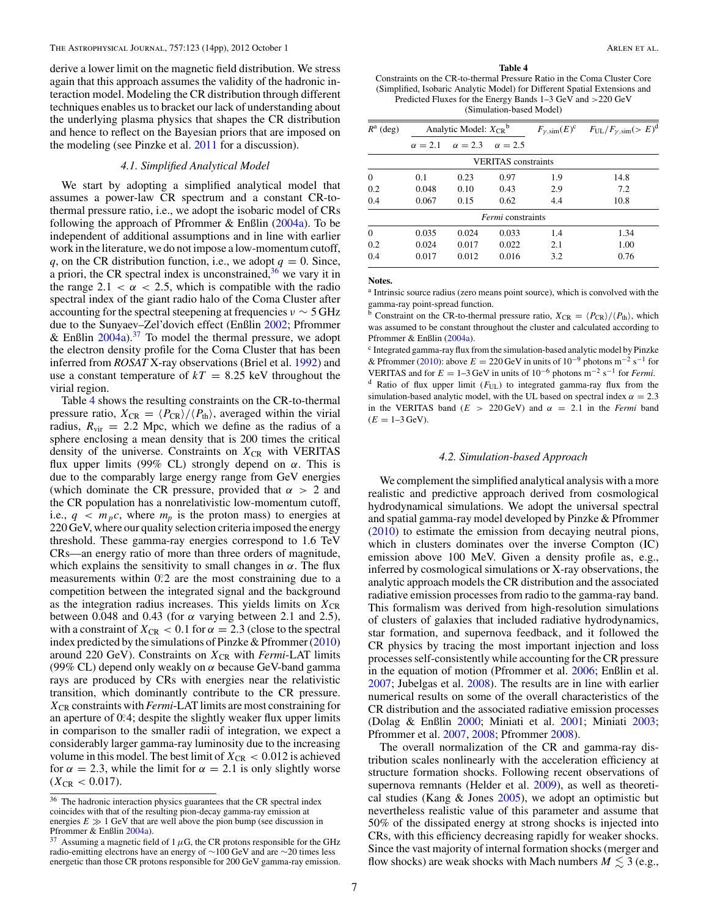<span id="page-7-0"></span>derive a lower limit on the magnetic field distribution. We stress again that this approach assumes the validity of the hadronic interaction model. Modeling the CR distribution through different techniques enables us to bracket our lack of understanding about the underlying plasma physics that shapes the CR distribution and hence to reflect on the Bayesian priors that are imposed on the modeling (see Pinzke et al. [2011](#page-14-0) for a discussion).

#### *4.1. Simplified Analytical Model*

We start by adopting a simplified analytical model that assumes a power-law CR spectrum and a constant CR-tothermal pressure ratio, i.e., we adopt the isobaric model of CRs following the approach of Pfrommer & Enßlin [\(2004a\)](#page-14-0). To be independent of additional assumptions and in line with earlier work in the literature, we do not impose a low-momentum cutoff, *q*, on the CR distribution function, i.e., we adopt  $q = 0$ . Since, a priori, the CR spectral index is unconstrained,  $36$  we vary it in the range  $2.1 < \alpha < 2.5$ , which is compatible with the radio spectral index of the giant radio halo of the Coma Cluster after accounting for the spectral steepening at frequencies *ν* ∼ 5 GHz due to the Sunyaev–Zel'dovich effect (Enßlin [2002;](#page-14-0) Pfrommer & Enßlin  $2004a$ ).<sup>37</sup> To model the thermal pressure, we adopt the electron density profile for the Coma Cluster that has been inferred from *ROSAT* X-ray observations (Briel et al. [1992\)](#page-13-0) and use a constant temperature of  $kT = 8.25$  keV throughout the virial region.

Table 4 shows the resulting constraints on the CR-to-thermal pressure ratio,  $X_{CR} = \langle P_{CR} \rangle / \langle P_{th} \rangle$ , averaged within the virial radius,  $R_{\text{vir}} = 2.2$  Mpc, which we define as the radius of a sphere enclosing a mean density that is 200 times the critical density of the universe. Constraints on  $X_{CR}$  with VERITAS flux upper limits (99% CL) strongly depend on *α*. This is due to the comparably large energy range from GeV energies (which dominate the CR pressure, provided that *α >* 2 and the CR population has a nonrelativistic low-momentum cutoff, i.e.,  $q < m_p c$ , where  $m_p$  is the proton mass) to energies at 220 GeV, where our quality selection criteria imposed the energy threshold. These gamma-ray energies correspond to 1.6 TeV CRs—an energy ratio of more than three orders of magnitude, which explains the sensitivity to small changes in *α*. The flux measurements within 0.2 are the most constraining due to a competition between the integrated signal and the background as the integration radius increases. This yields limits on  $X_{CR}$ between 0.048 and 0.43 (for *α* varying between 2.1 and 2.5), with a constraint of  $X_{CR} < 0.1$  for  $\alpha = 2.3$  (close to the spectral index predicted by the simulations of Pinzke & Pfrommer [\(2010\)](#page-14-0) around 220 GeV). Constraints on  $X_{CR}$  with *Fermi*-LAT limits (99% CL) depend only weakly on *α* because GeV-band gamma rays are produced by CRs with energies near the relativistic transition, which dominantly contribute to the CR pressure. *X*CR constraints with *Fermi*-LAT limits are most constraining for an aperture of 0°.4; despite the slightly weaker flux upper limits in comparison to the smaller radii of integration, we expect a considerably larger gamma-ray luminosity due to the increasing volume in this model. The best limit of  $X_{CR} < 0.012$  is achieved for  $\alpha = 2.3$ , while the limit for  $\alpha = 2.1$  is only slightly worse  $(X_{CR} < 0.017)$ .

#### **Table 4**

Constraints on the CR-to-thermal Pressure Ratio in the Coma Cluster Core (Simplified, Isobaric Analytic Model) for Different Spatial Extensions and Predicted Fluxes for the Energy Bands 1–3 GeV and *>*220 GeV (Simulation-based Model)

| $R^a$ (deg) |                | Analytic Model: $X_{CR}^b$ |                            |     | $F_{\gamma,\text{sim}}(E)^c$ $F_{\text{UL}}/F_{\gamma,\text{sim}}(E)^d$ |
|-------------|----------------|----------------------------|----------------------------|-----|-------------------------------------------------------------------------|
|             | $\alpha = 2.1$ | $\alpha = 2.3$             | $\alpha = 2.5$             |     |                                                                         |
|             |                |                            | <b>VERITAS</b> constraints |     |                                                                         |
| $\Omega$    | 0.1            | 0.23                       | 0.97                       | 1.9 | 14.8                                                                    |
| 0.2         | 0.048          | 0.10                       | 0.43                       | 2.9 | 7.2                                                                     |
| 0.4         | 0.067          | 0.15                       | 0.62                       | 4.4 | 10.8                                                                    |
|             |                |                            | <i>Fermi</i> constraints   |     |                                                                         |
| $\Omega$    | 0.035          | 0.024                      | 0.033                      | 1.4 | 1.34                                                                    |
| 0.2         | 0.024          | 0.017                      | 0.022                      | 2.1 | 1.00                                                                    |
| 0.4         | 0.017          | 0.012                      | 0.016                      | 3.2 | 0.76                                                                    |

**Notes.**

<sup>a</sup> Intrinsic source radius (zero means point source), which is convolved with the gamma-ray point-spread function.

 $\overline{b}$  Constraint on the CR-to-thermal pressure ratio,  $X_{CR} = \langle P_{CR} \rangle / \langle P_{th} \rangle$ , which was assumed to be constant throughout the cluster and calculated according to Pfrommer & Enßlin [\(2004a\)](#page-14-0).

<sup>c</sup> Integrated gamma-ray flux from the simulation-based analytic model by Pinzke & Pfrommer [\(2010\)](#page-14-0): above  $E = 220 \text{ GeV}$  in units of  $10^{-9}$  photons m<sup>-2</sup> s<sup>-1</sup> for VERITAS and for  $E = 1-3 \text{ GeV}$  in units of  $10^{-6}$  photons m<sup>-2</sup> s<sup>-1</sup> for *Fermi*. <sup>d</sup> Ratio of flux upper limit ( $F_{U|U}$ ) to integrated gamma-ray flux from the simulation-based analytic model, with the UL based on spectral index  $\alpha = 2.3$ in the VERITAS band ( $E > 220 \text{ GeV}$ ) and  $\alpha = 2.1$  in the *Fermi* band  $(E = 1-3 \text{ GeV}).$ 

#### *4.2. Simulation-based Approach*

We complement the simplified analytical analysis with a more realistic and predictive approach derived from cosmological hydrodynamical simulations. We adopt the universal spectral and spatial gamma-ray model developed by Pinzke & Pfrommer [\(2010\)](#page-14-0) to estimate the emission from decaying neutral pions, which in clusters dominates over the inverse Compton (IC) emission above 100 MeV. Given a density profile as, e.g., inferred by cosmological simulations or X-ray observations, the analytic approach models the CR distribution and the associated radiative emission processes from radio to the gamma-ray band. This formalism was derived from high-resolution simulations of clusters of galaxies that included radiative hydrodynamics, star formation, and supernova feedback, and it followed the CR physics by tracing the most important injection and loss processes self-consistently while accounting for the CR pressure in the equation of motion (Pfrommer et al. [2006;](#page-14-0) Enßlin et al. [2007;](#page-14-0) Jubelgas et al. [2008\)](#page-14-0). The results are in line with earlier numerical results on some of the overall characteristics of the CR distribution and the associated radiative emission processes (Dolag & Enßlin [2000;](#page-13-0) Miniati et al. [2001;](#page-14-0) Miniati [2003;](#page-14-0) Pfrommer et al. [2007,](#page-14-0) [2008;](#page-14-0) Pfrommer [2008\)](#page-14-0).

The overall normalization of the CR and gamma-ray distribution scales nonlinearly with the acceleration efficiency at structure formation shocks. Following recent observations of supernova remnants (Helder et al. [2009\)](#page-14-0), as well as theoretical studies (Kang & Jones [2005\)](#page-14-0), we adopt an optimistic but nevertheless realistic value of this parameter and assume that 50% of the dissipated energy at strong shocks is injected into CRs, with this efficiency decreasing rapidly for weaker shocks. Since the vast majority of internal formation shocks (merger and flow shocks) are weak shocks with Mach numbers  $M \lesssim 3$  (e.g.,

<sup>&</sup>lt;sup>36</sup> The hadronic interaction physics guarantees that the CR spectral index coincides with that of the resulting pion-decay gamma-ray emission at energies  $E \gg 1$  GeV that are well above the pion bump (see discussion in Pfrommer & Enßlin [2004a\)](#page-14-0).

<sup>&</sup>lt;sup>37</sup> Assuming a magnetic field of 1  $\mu$ G, the CR protons responsible for the GHz radio-emitting electrons have an energy of ∼100 GeV and are ∼20 times less energetic than those CR protons responsible for 200 GeV gamma-ray emission.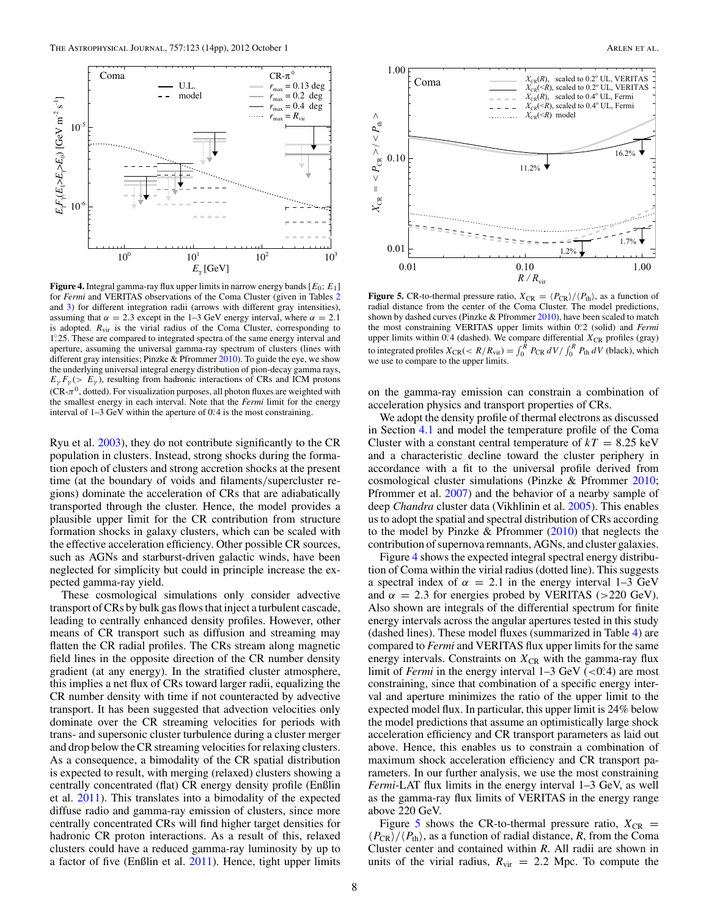<span id="page-8-0"></span>

**Figure 4.** Integral gamma-ray flux upper limits in narrow energy bands [*E*0; *E*1] for *Fermi* and VERITAS observations of the Coma Cluster (given in Tables [2](#page-6-0) and [3\)](#page-6-0) for different integration radii (arrows with different gray intensities), assuming that  $\alpha = 2.3$  except in the 1–3 GeV energy interval, where  $\alpha = 2.1$ is adopted.  $R_{\text{vir}}$  is the virial radius of the Coma Cluster, corresponding to 1*.* ◦25. These are compared to integrated spectra of the same energy interval and aperture, assuming the universal gamma-ray spectrum of clusters (lines with different gray intensities; Pinzke  $&$  Pfrommer [2010\)](#page-14-0). To guide the eye, we show the underlying universal integral energy distribution of pion-decay gamma rays,  $E_{\gamma} F_{\gamma}$  (*> E<sub>γ</sub>*), resulting from hadronic interactions of CRs and ICM protons ( $CR-\pi^0$ , dotted). For visualization purposes, all photon fluxes are weighted with the smallest energy in each interval. Note that the *Fermi* limit for the energy interval of  $1-3$  GeV within the aperture of  $0^{\circ}$ 4 is the most constraining.

Ryu et al. [2003\)](#page-14-0), they do not contribute significantly to the CR population in clusters. Instead, strong shocks during the formation epoch of clusters and strong accretion shocks at the present time (at the boundary of voids and filaments*/*supercluster regions) dominate the acceleration of CRs that are adiabatically transported through the cluster. Hence, the model provides a plausible upper limit for the CR contribution from structure formation shocks in galaxy clusters, which can be scaled with the effective acceleration efficiency. Other possible CR sources, such as AGNs and starburst-driven galactic winds, have been neglected for simplicity but could in principle increase the expected gamma-ray yield.

These cosmological simulations only consider advective transport of CRs by bulk gas flows that inject a turbulent cascade, leading to centrally enhanced density profiles. However, other means of CR transport such as diffusion and streaming may flatten the CR radial profiles. The CRs stream along magnetic field lines in the opposite direction of the CR number density gradient (at any energy). In the stratified cluster atmosphere, this implies a net flux of CRs toward larger radii, equalizing the CR number density with time if not counteracted by advective transport. It has been suggested that advection velocities only dominate over the CR streaming velocities for periods with trans- and supersonic cluster turbulence during a cluster merger and drop below the CR streaming velocities for relaxing clusters. As a consequence, a bimodality of the CR spatial distribution is expected to result, with merging (relaxed) clusters showing a centrally concentrated (flat) CR energy density profile (Enßlin et al. [2011\)](#page-14-0). This translates into a bimodality of the expected diffuse radio and gamma-ray emission of clusters, since more centrally concentrated CRs will find higher target densities for hadronic CR proton interactions. As a result of this, relaxed clusters could have a reduced gamma-ray luminosity by up to a factor of five (Enßlin et al. [2011\)](#page-14-0). Hence, tight upper limits



**Figure 5.** CR-to-thermal pressure ratio,  $X_{CR} = \langle P_{CR} \rangle / \langle P_{th} \rangle$ , as a function of radial distance from the center of the Coma Cluster. The model predictions, shown by dashed curves (Pinzke & Pfrommer [2010\)](#page-14-0), have been scaled to match the most constraining VERITAS upper limits within 0°.2 (solid) and *Fermi* upper limits within  $0.4$  (dashed). We compare differential  $X_{CR}$  profiles (gray) to integrated profiles  $X_{CR}(< R/R_{vir}) = \int_0^R P_{CR} dV / \int_0^R P_{th} dV$  (black), which we use to compare to the upper limits.

on the gamma-ray emission can constrain a combination of acceleration physics and transport properties of CRs.

We adopt the density profile of thermal electrons as discussed in Section [4.1](#page-7-0) and model the temperature profile of the Coma Cluster with a constant central temperature of  $kT = 8.25 \text{ keV}$ and a characteristic decline toward the cluster periphery in accordance with a fit to the universal profile derived from cosmological cluster simulations (Pinzke & Pfrommer [2010;](#page-14-0) Pfrommer et al. [2007\)](#page-14-0) and the behavior of a nearby sample of deep *Chandra* cluster data (Vikhlinin et al. [2005\)](#page-14-0). This enables us to adopt the spatial and spectral distribution of CRs according to the model by Pinzke  $&$  Pfrommer [\(2010\)](#page-14-0) that neglects the contribution of supernova remnants, AGNs, and cluster galaxies.

Figure 4 shows the expected integral spectral energy distribution of Coma within the virial radius (dotted line). This suggests a spectral index of  $\alpha = 2.1$  in the energy interval 1–3 GeV and  $\alpha = 2.3$  for energies probed by VERITAS ( $>220$  GeV). Also shown are integrals of the differential spectrum for finite energy intervals across the angular apertures tested in this study (dashed lines). These model fluxes (summarized in Table [4\)](#page-7-0) are compared to *Fermi* and VERITAS flux upper limits for the same energy intervals. Constraints on  $X_{CR}$  with the gamma-ray flux limit of *Fermi* in the energy interval  $1-3$  GeV ( $\lt 0$ <sup>o</sup>. 4) are most constraining, since that combination of a specific energy interval and aperture minimizes the ratio of the upper limit to the expected model flux. In particular, this upper limit is 24% below the model predictions that assume an optimistically large shock acceleration efficiency and CR transport parameters as laid out above. Hence, this enables us to constrain a combination of maximum shock acceleration efficiency and CR transport parameters. In our further analysis, we use the most constraining *Fermi*-LAT flux limits in the energy interval 1–3 GeV, as well as the gamma-ray flux limits of VERITAS in the energy range above 220 GeV.

Figure 5 shows the CR-to-thermal pressure ratio,  $X_{CR}$  =  $\langle P_{\rm CR} \rangle / \langle P_{\rm th} \rangle$ , as a function of radial distance, *R*, from the Coma Cluster center and contained within *R*. All radii are shown in units of the virial radius,  $R_{\text{vir}} = 2.2$  Mpc. To compute the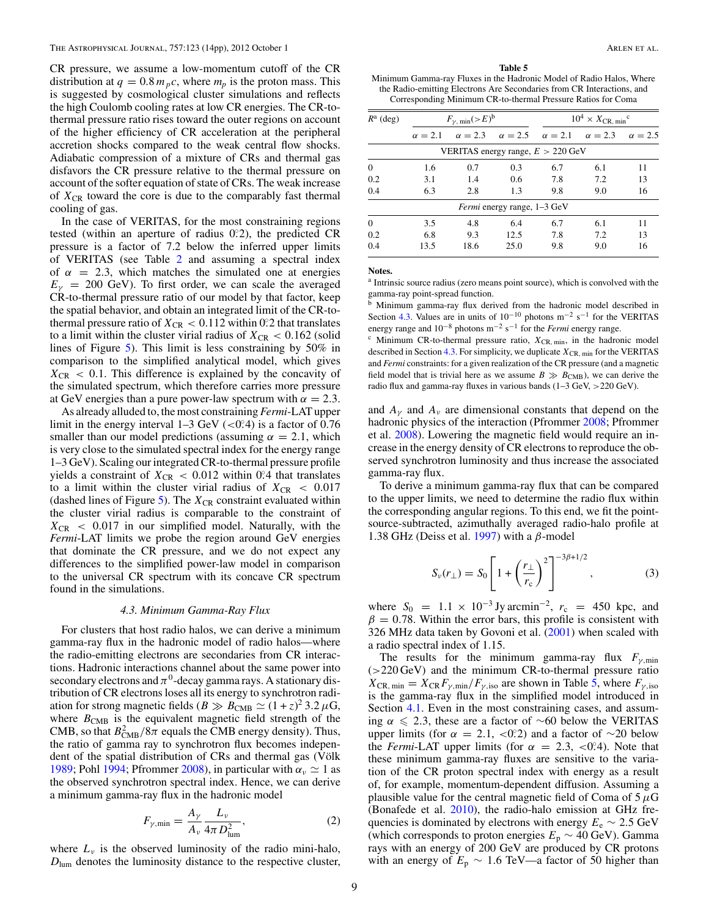<span id="page-9-0"></span>CR pressure, we assume a low-momentum cutoff of the CR distribution at  $q = 0.8 m_p c$ , where  $m_p$  is the proton mass. This is suggested by cosmological cluster simulations and reflects the high Coulomb cooling rates at low CR energies. The CR-tothermal pressure ratio rises toward the outer regions on account of the higher efficiency of CR acceleration at the peripheral accretion shocks compared to the weak central flow shocks. Adiabatic compression of a mixture of CRs and thermal gas disfavors the CR pressure relative to the thermal pressure on account of the softer equation of state of CRs. The weak increase of  $X_{CR}$  toward the core is due to the comparably fast thermal cooling of gas.

In the case of VERITAS, for the most constraining regions tested (within an aperture of radius 0.2), the predicted CR pressure is a factor of 7.2 below the inferred upper limits of VERITAS (see Table [2](#page-6-0) and assuming a spectral index of  $\alpha = 2.3$ , which matches the simulated one at energies  $E<sub>\gamma</sub>$  = 200 GeV). To first order, we can scale the averaged CR-to-thermal pressure ratio of our model by that factor, keep the spatial behavior, and obtain an integrated limit of the CR-tothermal pressure ratio of  $X_{CR} < 0.112$  within 0.2 that translates to a limit within the cluster virial radius of  $X_{CR} < 0.162$  (solid lines of Figure [5\)](#page-8-0). This limit is less constraining by 50% in comparison to the simplified analytical model, which gives  $X_{CR}$  < 0.1. This difference is explained by the concavity of the simulated spectrum, which therefore carries more pressure at GeV energies than a pure power-law spectrum with  $\alpha = 2.3$ .

As already alluded to, the most constraining *Fermi*-LAT upper limit in the energy interval  $1-3 \text{ GeV}$  ( $<0.24$ ) is a factor of 0.76 smaller than our model predictions (assuming  $\alpha = 2.1$ , which is very close to the simulated spectral index for the energy range 1–3 GeV). Scaling our integrated CR-to-thermal pressure profile yields a constraint of  $X_{CR}$  < 0.012 within 0.<sup>2</sup> that translates to a limit within the cluster virial radius of  $X_{CR} < 0.017$ (dashed lines of Figure [5\)](#page-8-0). The  $X_{CR}$  constraint evaluated within the cluster virial radius is comparable to the constraint of  $X_{CR}$  < 0.017 in our simplified model. Naturally, with the *Fermi*-LAT limits we probe the region around GeV energies that dominate the CR pressure, and we do not expect any differences to the simplified power-law model in comparison to the universal CR spectrum with its concave CR spectrum found in the simulations.

#### *4.3. Minimum Gamma-Ray Flux*

For clusters that host radio halos, we can derive a minimum gamma-ray flux in the hadronic model of radio halos—where the radio-emitting electrons are secondaries from CR interactions. Hadronic interactions channel about the same power into secondary electrons and  $\pi^0$ -decay gamma rays. A stationary distribution of CR electrons loses all its energy to synchrotron radiation for strong magnetic fields ( $B \gg B_{\text{CMB}} \simeq (1+z)^2 3.2 \,\mu\text{G}$ , where  $B_{\text{CMB}}$  is the equivalent magnetic field strength of the CMB, so that  $B_{\text{CMB}}^2/8\pi$  equals the CMB energy density). Thus, the ratio of gamma ray to synchrotron flux becomes independent of the spatial distribution of CRs and thermal gas (Völk [1989;](#page-14-0) Pohl [1994;](#page-14-0) Pfrommer [2008\)](#page-14-0), in particular with  $\alpha_{\nu} \simeq 1$  as the observed synchrotron spectral index. Hence, we can derive a minimum gamma-ray flux in the hadronic model

$$
F_{\gamma,\min} = \frac{A_{\gamma}}{A_{\nu}} \frac{L_{\nu}}{4\pi D_{\text{lum}}^2},\tag{2}
$$

where  $L_{\nu}$  is the observed luminosity of the radio mini-halo,  $D_{\text{lum}}$  denotes the luminosity distance to the respective cluster,

**Table 5**

Minimum Gamma-ray Fluxes in the Hadronic Model of Radio Halos, Where the Radio-emitting Electrons Are Secondaries from CR Interactions, and Corresponding Minimum CR-to-thermal Pressure Ratios for Coma

| $R^a$ (deg) |                | $F_{\gamma, min}$ $>>$ <sup>b</sup> |                                    | $10^4 \times X_{CR. min}^{\circ}$                           |     |                |
|-------------|----------------|-------------------------------------|------------------------------------|-------------------------------------------------------------|-----|----------------|
|             | $\alpha = 2.1$ |                                     |                                    | $\alpha = 2.3$ $\alpha = 2.5$ $\alpha = 2.1$ $\alpha = 2.3$ |     | $\alpha = 2.5$ |
|             |                |                                     |                                    | VERITAS energy range, $E > 220$ GeV                         |     |                |
| $\Omega$    | 1.6            | 0.7                                 | 0.3                                | 6.7                                                         | 6.1 | 11             |
| 0.2         | 3.1            | 1.4                                 | 0.6                                | 7.8                                                         | 7.2 | 13             |
| 0.4         | 6.3            | 2.8                                 | 1.3                                | 9.8                                                         | 9.0 | 16             |
|             |                |                                     | <i>Fermi</i> energy range, 1–3 GeV |                                                             |     |                |
| $\Omega$    | 3.5            | 4.8                                 | 6.4                                | 6.7                                                         | 6.1 | 11             |
| 0.2         | 6.8            | 9.3                                 | 12.5                               | 7.8                                                         | 7.2 | 13             |
| 0.4         | 13.5           | 18.6                                | 25.0                               | 9.8                                                         | 9.0 | 16             |

**Notes.**

<sup>a</sup> Intrinsic source radius (zero means point source), which is convolved with the gamma-ray point-spread function.

b Minimum gamma-ray flux derived from the hadronic model described in Section 4.3. Values are in units of  $10^{-10}$  photons m<sup>-2</sup> s<sup>-1</sup> for the VERITAS energy range and 10−<sup>8</sup> photons m−<sup>2</sup> s−<sup>1</sup> for the *Fermi* energy range.

 $c$  Minimum CR-to-thermal pressure ratio,  $X_{CR, min}$ , in the hadronic model described in Section 4.3. For simplicity, we duplicate  $X_{CR, min}$  for the VERITAS and *Fermi* constraints: for a given realization of the CR pressure (and a magnetic field model that is trivial here as we assume  $B \gg B_{\text{CMB}}$ ), we can derive the radio flux and gamma-ray fluxes in various bands (1–3 GeV, *>*220 GeV).

and  $A_{\nu}$  and  $A_{\nu}$  are dimensional constants that depend on the hadronic physics of the interaction (Pfrommer [2008;](#page-14-0) Pfrommer et al. [2008\)](#page-14-0). Lowering the magnetic field would require an increase in the energy density of CR electrons to reproduce the observed synchrotron luminosity and thus increase the associated gamma-ray flux.

To derive a minimum gamma-ray flux that can be compared to the upper limits, we need to determine the radio flux within the corresponding angular regions. To this end, we fit the pointsource-subtracted, azimuthally averaged radio-halo profile at 1.38 GHz (Deiss et al. [1997\)](#page-13-0) with a *β*-model

$$
S_{\nu}(r_{\perp}) = S_0 \left[ 1 + \left(\frac{r_{\perp}}{r_{\rm c}}\right)^2 \right]^{-3\beta + 1/2}, \tag{3}
$$

where  $S_0 = 1.1 \times 10^{-3}$  Jy arcmin<sup>-2</sup>,  $r_c = 450$  kpc, and  $\beta = 0.78$ . Within the error bars, this profile is consistent with 326 MHz data taken by Govoni et al. [\(2001\)](#page-14-0) when scaled with a radio spectral index of 1.15.

The results for the minimum gamma-ray flux *Fγ,*min (*>*220 GeV) and the minimum CR-to-thermal pressure ratio  $X_{CR, min} = X_{CR}F_{\gamma,min}/F_{\gamma, iso}$  are shown in Table 5, where  $F_{\gamma, iso}$ is the gamma-ray flux in the simplified model introduced in Section [4.1.](#page-7-0) Even in the most constraining cases, and assuming  $\alpha \le 2.3$ , these are a factor of ~60 below the VERITAS upper limits (for  $\alpha = 2.1, \langle 0.2 \rangle$ ) and a factor of ∼20 below the *Fermi*-LAT upper limits (for  $\alpha = 2.3, <0.4$ ). Note that these minimum gamma-ray fluxes are sensitive to the variation of the CR proton spectral index with energy as a result of, for example, momentum-dependent diffusion. Assuming a plausible value for the central magnetic field of Coma of 5*μ*G (Bonafede et al. [2010\)](#page-13-0), the radio-halo emission at GHz frequencies is dominated by electrons with energy  $E_e \sim 2.5$  GeV (which corresponds to proton energies *E*<sup>p</sup> ∼ 40 GeV). Gamma rays with an energy of 200 GeV are produced by CR protons with an energy of  $E_p \sim 1.6$  TeV—a factor of 50 higher than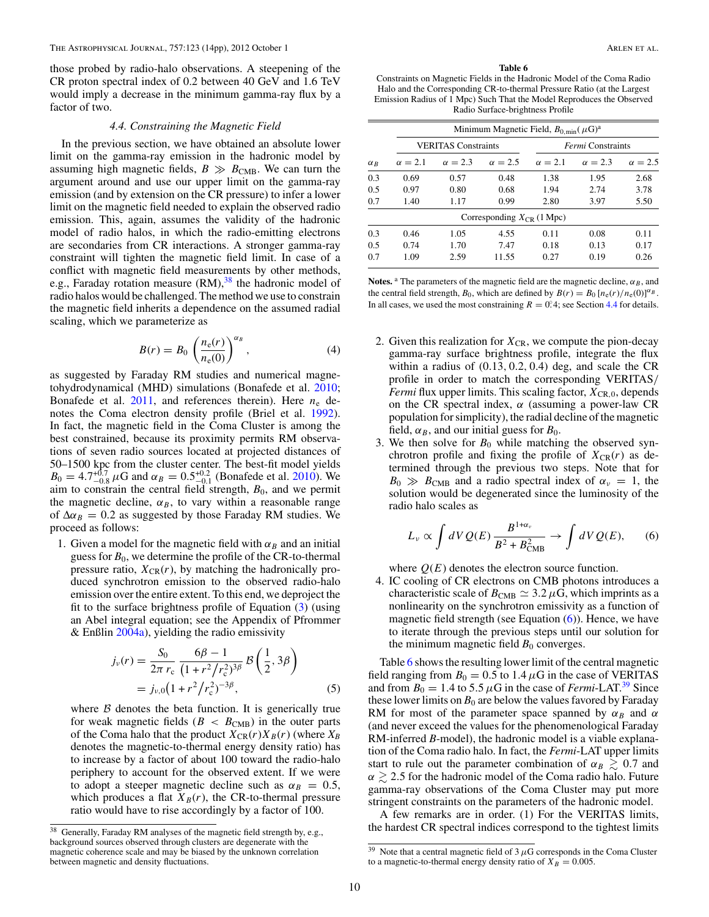<span id="page-10-0"></span>those probed by radio-halo observations. A steepening of the CR proton spectral index of 0.2 between 40 GeV and 1.6 TeV would imply a decrease in the minimum gamma-ray flux by a factor of two.

#### *4.4. Constraining the Magnetic Field*

In the previous section, we have obtained an absolute lower limit on the gamma-ray emission in the hadronic model by assuming high magnetic fields,  $B \gg B_{\text{CMB}}$ . We can turn the argument around and use our upper limit on the gamma-ray emission (and by extension on the CR pressure) to infer a lower limit on the magnetic field needed to explain the observed radio emission. This, again, assumes the validity of the hadronic model of radio halos, in which the radio-emitting electrons are secondaries from CR interactions. A stronger gamma-ray constraint will tighten the magnetic field limit. In case of a conflict with magnetic field measurements by other methods, e.g., Faraday rotation measure  $(RM)$ , <sup>38</sup> the hadronic model of radio halos would be challenged. The method we use to constrain the magnetic field inherits a dependence on the assumed radial scaling, which we parameterize as

$$
B(r) = B_0 \left(\frac{n_e(r)}{n_e(0)}\right)^{\alpha_B},\tag{4}
$$

as suggested by Faraday RM studies and numerical magnetohydrodynamical (MHD) simulations (Bonafede et al. [2010;](#page-13-0) Bonafede et al.  $2011$ , and references therein). Here  $n_e$  denotes the Coma electron density profile (Briel et al. [1992\)](#page-13-0). In fact, the magnetic field in the Coma Cluster is among the best constrained, because its proximity permits RM observations of seven radio sources located at projected distances of 50–1500 kpc from the cluster center. The best-fit model yields  $B_0 = 4.7^{+0.7}_{-0.8}$   $\mu$ G and  $\alpha_B = 0.5^{+0.2}_{-0.1}$  (Bonafede et al. [2010\)](#page-13-0). We aim to constrain the central field strength,  $B_0$ , and we permit the magnetic decline,  $\alpha_B$ , to vary within a reasonable range of  $\Delta \alpha_B = 0.2$  as suggested by those Faraday RM studies. We proceed as follows:

1. Given a model for the magnetic field with  $\alpha_B$  and an initial guess for  $B_0$ , we determine the profile of the CR-to-thermal pressure ratio,  $X_{\text{CR}}(r)$ , by matching the hadronically produced synchrotron emission to the observed radio-halo emission over the entire extent. To this end, we deproject the fit to the surface brightness profile of Equation [\(3\)](#page-9-0) (using an Abel integral equation; see the Appendix of Pfrommer  $&$  Enßlin [2004a\)](#page-14-0), yielding the radio emissivity

$$
j_{\nu}(r) = \frac{S_0}{2\pi r_c} \frac{6\beta - 1}{(1 + r^2/r_c^2)^{3\beta}} \mathcal{B}\left(\frac{1}{2}, 3\beta\right)
$$
  
=  $j_{\nu,0} \left(1 + r^2/r_c^2\right)^{-3\beta}$ , (5)

where  $\beta$  denotes the beta function. It is generically true for weak magnetic fields ( $B < B<sub>CMB</sub>$ ) in the outer parts of the Coma halo that the product  $X_{CR}(r)X_B(r)$  (where  $X_B$ denotes the magnetic-to-thermal energy density ratio) has to increase by a factor of about 100 toward the radio-halo periphery to account for the observed extent. If we were to adopt a steeper magnetic decline such as  $\alpha_B = 0.5$ , which produces a flat  $X_B(r)$ , the CR-to-thermal pressure ratio would have to rise accordingly by a factor of 100.

#### **Table 6**

Constraints on Magnetic Fields in the Hadronic Model of the Coma Radio Halo and the Corresponding CR-to-thermal Pressure Ratio (at the Largest Emission Radius of 1 Mpc) Such That the Model Reproduces the Observed Radio Surface-brightness Profile

|            | Minimum Magnetic Field, $B_{0,\text{min}}(\mu G)^a$ |                            |                                |                          |                |                |  |  |
|------------|-----------------------------------------------------|----------------------------|--------------------------------|--------------------------|----------------|----------------|--|--|
|            |                                                     | <b>VERITAS Constraints</b> |                                | <i>Fermi</i> Constraints |                |                |  |  |
| $\alpha_R$ | $\alpha = 2.1$                                      | $\alpha = 2.3$             | $\alpha = 2.5$                 | $\alpha = 2.1$           | $\alpha = 2.3$ | $\alpha = 2.5$ |  |  |
| 0.3        | 0.69                                                | 0.57                       | 0.48                           | 1.38                     | 1.95           | 2.68           |  |  |
| 0.5        | 0.97                                                | 0.80                       | 0.68                           | 1.94                     | 2.74           | 3.78           |  |  |
| 0.7        | 1.40                                                | 1.17                       | 0.99                           | 2.80                     | 3.97           | 5.50           |  |  |
|            |                                                     |                            | Corresponding $X_{CR}$ (1 Mpc) |                          |                |                |  |  |
| 0.3        | 0.46                                                | 1.05                       | 4.55                           | 0.11                     | 0.08           | 0.11           |  |  |
| 0.5        | 0.74                                                | 1.70                       | 7.47                           | 0.18                     | 0.13           | 0.17           |  |  |
| 0.7        | 1.09                                                | 2.59                       | 11.55                          | 0.27                     | 0.19           | 0.26           |  |  |
|            |                                                     |                            |                                |                          |                |                |  |  |

**Notes.** <sup>a</sup> The parameters of the magnetic field are the magnetic decline,  $\alpha_B$ , and the central field strength,  $B_0$ , which are defined by  $B(r) = B_0 [n_e(r)/n_e(0)]^{\alpha_B}$ . In all cases, we used the most constraining  $R = 0.4$ ; see Section 4.4 for details.

- 2. Given this realization for  $X_{CR}$ , we compute the pion-decay gamma-ray surface brightness profile, integrate the flux within a radius of (0*.*13*,* 0*.*2*,* 0*.*4) deg, and scale the CR profile in order to match the corresponding VERITAS*/ Fermi* flux upper limits. This scaling factor,  $X_{CR,0}$ , depends on the CR spectral index, *α* (assuming a power-law CR population for simplicity), the radial decline of the magnetic field,  $\alpha_B$ , and our initial guess for  $B_0$ .
- 3. We then solve for  $B_0$  while matching the observed synchrotron profile and fixing the profile of  $X_{CR}(r)$  as determined through the previous two steps. Note that for  $B_0 \gg B_{\text{CMB}}$  and a radio spectral index of  $\alpha_v = 1$ , the solution would be degenerated since the luminosity of the radio halo scales as

$$
L_{\nu} \propto \int dV Q(E) \frac{B^{1+\alpha_{\nu}}}{B^2 + B_{\text{CMB}}^2} \to \int dV Q(E), \qquad (6)
$$

where  $Q(E)$  denotes the electron source function.

4. IC cooling of CR electrons on CMB photons introduces a characteristic scale of  $B_{\text{CMB}} \simeq 3.2 \,\mu\text{G}$ , which imprints as a nonlinearity on the synchrotron emissivity as a function of magnetic field strength (see Equation  $(6)$ ). Hence, we have to iterate through the previous steps until our solution for the minimum magnetic field  $B_0$  converges.

Table 6 shows the resulting lower limit of the central magnetic field ranging from  $B_0 = 0.5$  to 1.4  $\mu$ G in the case of VERITAS and from  $B_0 = 1.4$  to 5.5  $\mu$ G in the case of *Fermi*-LAT.<sup>39</sup> Since these lower limits on  $B_0$  are below the values favored by Faraday RM for most of the parameter space spanned by  $\alpha_B$  and  $\alpha$ (and never exceed the values for the phenomenological Faraday RM-inferred *B*-model), the hadronic model is a viable explanation of the Coma radio halo. In fact, the *Fermi*-LAT upper limits start to rule out the parameter combination of  $\alpha_B \gtrsim 0.7$  and  $\alpha \gtrsim 2.5$  for the hadronic model of the Coma radio halo. Future gamma-ray observations of the Coma Cluster may put more stringent constraints on the parameters of the hadronic model.

A few remarks are in order. (1) For the VERITAS limits, the hardest CR spectral indices correspond to the tightest limits

<sup>38</sup> Generally, Faraday RM analyses of the magnetic field strength by, e.g., background sources observed through clusters are degenerate with the magnetic coherence scale and may be biased by the unknown correlation between magnetic and density fluctuations.

<sup>&</sup>lt;sup>39</sup> Note that a central magnetic field of 3  $\mu$ G corresponds in the Coma Cluster to a magnetic-to-thermal energy density ratio of  $X_B = 0.005$ .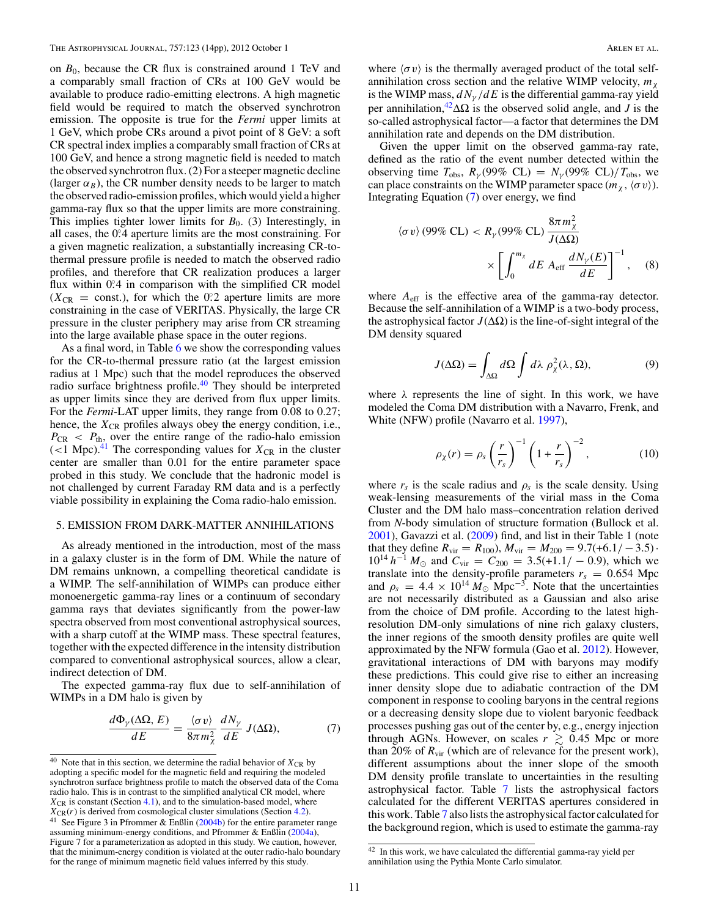on *B*0, because the CR flux is constrained around 1 TeV and a comparably small fraction of CRs at 100 GeV would be available to produce radio-emitting electrons. A high magnetic field would be required to match the observed synchrotron emission. The opposite is true for the *Fermi* upper limits at 1 GeV, which probe CRs around a pivot point of 8 GeV: a soft CR spectral index implies a comparably small fraction of CRs at 100 GeV, and hence a strong magnetic field is needed to match the observed synchrotron flux. (2) For a steeper magnetic decline (larger  $\alpha_B$ ), the CR number density needs to be larger to match the observed radio-emission profiles, which would yield a higher gamma-ray flux so that the upper limits are more constraining. This implies tighter lower limits for  $B_0$ . (3) Interestingly, in all cases, the 0.<sup>2</sup>4 aperture limits are the most constraining. For a given magnetic realization, a substantially increasing CR-tothermal pressure profile is needed to match the observed radio profiles, and therefore that CR realization produces a larger flux within 0.<sup>2</sup> in comparison with the simplified CR model  $(X_{CR} = \text{const.})$ , for which the 0.2 aperture limits are more constraining in the case of VERITAS. Physically, the large CR pressure in the cluster periphery may arise from CR streaming into the large available phase space in the outer regions.

As a final word, in Table [6](#page-10-0) we show the corresponding values for the CR-to-thermal pressure ratio (at the largest emission radius at 1 Mpc) such that the model reproduces the observed radio surface brightness profile.<sup>40</sup> They should be interpreted as upper limits since they are derived from flux upper limits. For the *Fermi*-LAT upper limits, they range from 0.08 to 0.27; hence, the  $X_{CR}$  profiles always obey the energy condition, i.e.,  $P_{CR}$  *< P<sub>th</sub>*, over the entire range of the radio-halo emission  $(<$ 1 Mpc).<sup>41</sup> The corresponding values for  $X_{CR}$  in the cluster center are smaller than 0.01 for the entire parameter space probed in this study. We conclude that the hadronic model is not challenged by current Faraday RM data and is a perfectly viable possibility in explaining the Coma radio-halo emission.

#### 5. EMISSION FROM DARK-MATTER ANNIHILATIONS

As already mentioned in the introduction, most of the mass in a galaxy cluster is in the form of DM. While the nature of DM remains unknown, a compelling theoretical candidate is a WIMP. The self-annihilation of WIMPs can produce either monoenergetic gamma-ray lines or a continuum of secondary gamma rays that deviates significantly from the power-law spectra observed from most conventional astrophysical sources, with a sharp cutoff at the WIMP mass. These spectral features, together with the expected difference in the intensity distribution compared to conventional astrophysical sources, allow a clear, indirect detection of DM.

The expected gamma-ray flux due to self-annihilation of WIMPs in a DM halo is given by

$$
\frac{d\Phi_{\gamma}(\Delta\Omega, E)}{dE} = \frac{\langle \sigma v \rangle}{8\pi m_{\chi}^2} \frac{dN_{\gamma}}{dE} J(\Delta\Omega),\tag{7}
$$

where  $\langle \sigma v \rangle$  is the thermally averaged product of the total selfannihilation cross section and the relative WIMP velocity,  $m_{\gamma}$ is the WIMP mass,  $dN_y/dE$  is the differential gamma-ray yield per annihilation,<sup>42</sup> $\Delta\Omega$  is the observed solid angle, and *J* is the so-called astrophysical factor—a factor that determines the DM annihilation rate and depends on the DM distribution.

Given the upper limit on the observed gamma-ray rate, defined as the ratio of the event number detected within the observing time  $T_{\text{obs}}$ ,  $R_{\gamma}(99\% \text{ CL}) = N_{\gamma}(99\% \text{ CL})/T_{\text{obs}}$ , we can place constraints on the WIMP parameter space  $(m_\chi, \langle \sigma v \rangle)$ . Integrating Equation (7) over energy, we find

$$
\langle \sigma v \rangle (99\% CL) < R_{\gamma} (99\% CL) \frac{8\pi m_{\chi}^2}{J(\Delta\Omega)} \times \left[ \int_0^{m_{\chi}} dE \, A_{\text{eff}} \, \frac{dN_{\gamma}(E)}{dE} \right]^{-1}, \quad (8)
$$

where  $A_{\text{eff}}$  is the effective area of the gamma-ray detector. Because the self-annihilation of a WIMP is a two-body process, the astrophysical factor  $J(\Delta\Omega)$  is the line-of-sight integral of the DM density squared

$$
J(\Delta\Omega) = \int_{\Delta\Omega} d\Omega \int d\lambda \, \rho_{\chi}^2(\lambda, \Omega), \tag{9}
$$

where  $\lambda$  represents the line of sight. In this work, we have modeled the Coma DM distribution with a Navarro, Frenk, and White (NFW) profile (Navarro et al. [1997\)](#page-14-0),

$$
\rho_{\chi}(r) = \rho_s \left(\frac{r}{r_s}\right)^{-1} \left(1 + \frac{r}{r_s}\right)^{-2},\tag{10}
$$

where  $r_s$  is the scale radius and  $\rho_s$  is the scale density. Using weak-lensing measurements of the virial mass in the Coma Cluster and the DM halo mass–concentration relation derived from *N*-body simulation of structure formation (Bullock et al. [2001\)](#page-13-0), Gavazzi et al. [\(2009\)](#page-14-0) find, and list in their Table 1 (note that they define  $R_{\text{vir}} = R_{100}$ ,  $M_{\text{vir}} = M_{200} = 9.7(+6.1/-3.5)$ .  $10^{14} h^{-1} M_{\odot}$  and  $C_{\text{vir}} = C_{200} = 3.5(+1.1/-0.9)$ , which we translate into the density-profile parameters  $r_s = 0.654$  Mpc and  $\rho_s = 4.4 \times 10^{14} M_{\odot}$  Mpc<sup>-3</sup>. Note that the uncertainties are not necessarily distributed as a Gaussian and also arise from the choice of DM profile. According to the latest highresolution DM-only simulations of nine rich galaxy clusters, the inner regions of the smooth density profiles are quite well approximated by the NFW formula (Gao et al. [2012\)](#page-14-0). However, gravitational interactions of DM with baryons may modify these predictions. This could give rise to either an increasing inner density slope due to adiabatic contraction of the DM component in response to cooling baryons in the central regions or a decreasing density slope due to violent baryonic feedback processes pushing gas out of the center by, e.g., energy injection through AGNs. However, on scales  $r \gtrsim 0.45$  Mpc or more than 20% of  $R_{\text{vir}}$  (which are of relevance for the present work), different assumptions about the inner slope of the smooth DM density profile translate to uncertainties in the resulting astrophysical factor. Table [7](#page-12-0) lists the astrophysical factors calculated for the different VERITAS apertures considered in this work. Table [7](#page-12-0) also lists the astrophysical factor calculated for the background region, which is used to estimate the gamma-ray

<sup>&</sup>lt;sup>40</sup> Note that in this section, we determine the radial behavior of  $X_{\text{CR}}$  by adopting a specific model for the magnetic field and requiring the modeled synchrotron surface brightness profile to match the observed data of the Coma radio halo. This is in contrast to the simplified analytical CR model, where  $X_{\text{CR}}$  is constant (Section [4.1\)](#page-7-0), and to the simulation-based model, where  $X_{CR}(r)$  is derived from cosmological cluster simulations (Section [4.2\)](#page-7-0). <sup>41</sup> See Figure 3 in Pfrommer & Enßlin [\(2004b\)](#page-14-0) for the entire parameter range assuming minimum-energy conditions, and Pfrommer & Enßlin [\(2004a\)](#page-14-0), Figure 7 for a parameterization as adopted in this study. We caution, however, that the minimum-energy condition is violated at the outer radio-halo boundary for the range of minimum magnetic field values inferred by this study.

<sup>42</sup> In this work, we have calculated the differential gamma-ray yield per annihilation using the Pythia Monte Carlo simulator.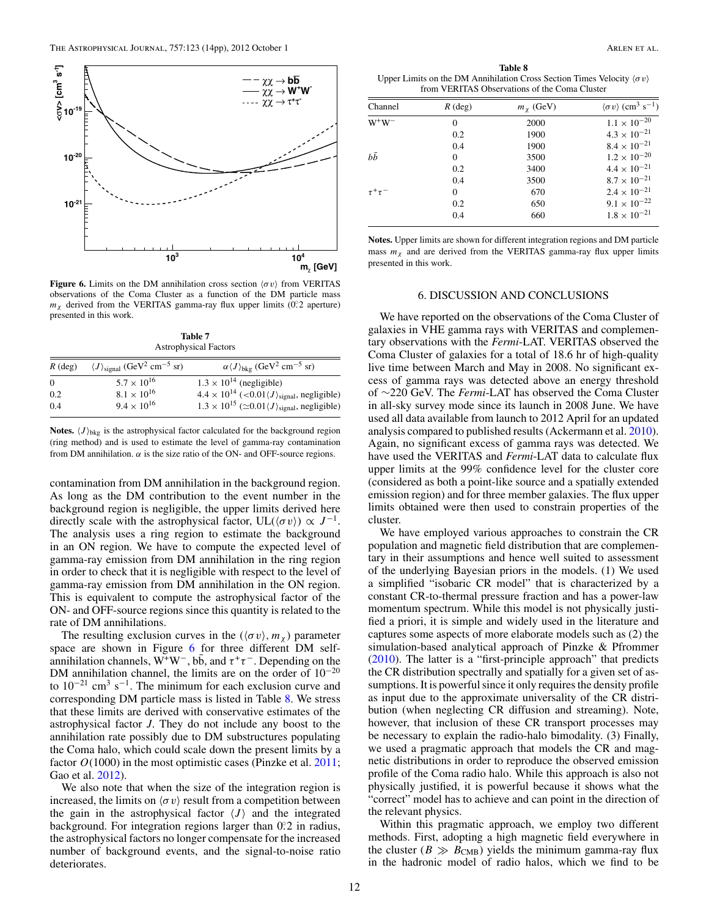<span id="page-12-0"></span>

**Figure 6.** Limits on the DM annihilation cross section  $\langle \sigma v \rangle$  from VERITAS observations of the Coma Cluster as a function of the DM particle mass *mχ* derived from the VERITAS gamma-ray flux upper limits (0*.* ◦2 aperture) presented in this work.

**Table 7** Astrophysical Factors

| $R$ (deg) | $\langle J \rangle_{\text{signal}} (\text{GeV}^2 \text{ cm}^{-5} \text{ sr})$ | $\alpha \langle J \rangle_{\text{bkg}}$ (GeV <sup>2</sup> cm <sup>-5</sup> sr)         |
|-----------|-------------------------------------------------------------------------------|----------------------------------------------------------------------------------------|
| $\Omega$  | $5.7 \times 10^{16}$                                                          | $1.3 \times 10^{14}$ (negligible)                                                      |
| 0.2       | $8.1 \times 10^{16}$                                                          | $4.4 \times 10^{14}$ (<0.01 $\langle J \rangle$ <sub>signal</sub> , negligible)        |
| 0.4       | $9.4 \times 10^{16}$                                                          | $1.3 \times 10^{15}$ ( $\simeq 0.01 \langle J \rangle$ <sub>signal</sub> , negligible) |

**Notes.**  $\langle J \rangle_{\text{bkg}}$  is the astrophysical factor calculated for the background region (ring method) and is used to estimate the level of gamma-ray contamination from DM annihilation.  $\alpha$  is the size ratio of the ON- and OFF-source regions.

contamination from DM annihilation in the background region. As long as the DM contribution to the event number in the background region is negligible, the upper limits derived here directly scale with the astrophysical factor,  $UL(\langle \sigma v \rangle) \propto J^{-1}$ . The analysis uses a ring region to estimate the background in an ON region. We have to compute the expected level of gamma-ray emission from DM annihilation in the ring region in order to check that it is negligible with respect to the level of gamma-ray emission from DM annihilation in the ON region. This is equivalent to compute the astrophysical factor of the ON- and OFF-source regions since this quantity is related to the rate of DM annihilations.

The resulting exclusion curves in the  $(\langle \sigma v \rangle, m_{\gamma})$  parameter space are shown in Figure 6 for three different DM selfannihilation channels,  $W^+W^-, b\bar{b}$ , and  $\tau^+\tau^-$ . Depending on the DM annihilation channel, the limits are on the order of  $10^{-20}$ to  $10^{-21}$  cm<sup>3</sup> s<sup>-1</sup>. The minimum for each exclusion curve and corresponding DM particle mass is listed in Table 8. We stress that these limits are derived with conservative estimates of the astrophysical factor *J*. They do not include any boost to the annihilation rate possibly due to DM substructures populating the Coma halo, which could scale down the present limits by a factor  $O(1000)$  in the most optimistic cases (Pinzke et al. [2011;](#page-14-0) Gao et al. [2012\)](#page-14-0).

We also note that when the size of the integration region is increased, the limits on  $\langle \sigma v \rangle$  result from a competition between the gain in the astrophysical factor  $\langle J \rangle$  and the integrated background. For integration regions larger than 0.2 in radius, the astrophysical factors no longer compensate for the increased number of background events, and the signal-to-noise ratio deteriorates.

**Table 8** Upper Limits on the DM Annihilation Cross Section Times Velocity *σv* from VERITAS Observations of the Coma Cluster

| Channel        | $R$ (deg) | $mx$ (GeV) | $\langle \sigma v \rangle$ (cm <sup>3</sup> s <sup>-1</sup> ) |
|----------------|-----------|------------|---------------------------------------------------------------|
| $W^+W^-$       | 0         | 2000       | $1.1\times10^{-20}$                                           |
|                | 0.2       | 1900       | $4.3 \times 10^{-21}$                                         |
|                | 0.4       | 1900       | $8.4 \times 10^{-21}$                                         |
| $b\bar{b}$     | $\Omega$  | 3500       | $1.2 \times 10^{-20}$                                         |
|                | 0.2       | 3400       | $4.4 \times 10^{-21}$                                         |
|                | 0.4       | 3500       | $8.7 \times 10^{-21}$                                         |
| $\tau^+\tau^-$ | $\Omega$  | 670        | $2.4 \times 10^{-21}$                                         |
|                | 0.2       | 650        | $9.1 \times 10^{-22}$                                         |
|                | 0.4       | 660        | $1.8 \times 10^{-21}$                                         |

**Notes.** Upper limits are shown for different integration regions and DM particle mass  $m<sub>x</sub>$  and are derived from the VERITAS gamma-ray flux upper limits presented in this work.

#### 6. DISCUSSION AND CONCLUSIONS

We have reported on the observations of the Coma Cluster of galaxies in VHE gamma rays with VERITAS and complementary observations with the *Fermi*-LAT. VERITAS observed the Coma Cluster of galaxies for a total of 18.6 hr of high-quality live time between March and May in 2008. No significant excess of gamma rays was detected above an energy threshold of ∼220 GeV. The *Fermi*-LAT has observed the Coma Cluster in all-sky survey mode since its launch in 2008 June. We have used all data available from launch to 2012 April for an updated analysis compared to published results (Ackermann et al. [2010\)](#page-13-0). Again, no significant excess of gamma rays was detected. We have used the VERITAS and *Fermi*-LAT data to calculate flux upper limits at the 99% confidence level for the cluster core (considered as both a point-like source and a spatially extended emission region) and for three member galaxies. The flux upper limits obtained were then used to constrain properties of the cluster.

We have employed various approaches to constrain the CR population and magnetic field distribution that are complementary in their assumptions and hence well suited to assessment of the underlying Bayesian priors in the models. (1) We used a simplified "isobaric CR model" that is characterized by a constant CR-to-thermal pressure fraction and has a power-law momentum spectrum. While this model is not physically justified a priori, it is simple and widely used in the literature and captures some aspects of more elaborate models such as (2) the simulation-based analytical approach of Pinzke & Pfrommer [\(2010\)](#page-14-0). The latter is a "first-principle approach" that predicts the CR distribution spectrally and spatially for a given set of assumptions. It is powerful since it only requires the density profile as input due to the approximate universality of the CR distribution (when neglecting CR diffusion and streaming). Note, however, that inclusion of these CR transport processes may be necessary to explain the radio-halo bimodality. (3) Finally, we used a pragmatic approach that models the CR and magnetic distributions in order to reproduce the observed emission profile of the Coma radio halo. While this approach is also not physically justified, it is powerful because it shows what the "correct" model has to achieve and can point in the direction of the relevant physics.

Within this pragmatic approach, we employ two different methods. First, adopting a high magnetic field everywhere in the cluster ( $B \gg B_{\text{CMB}}$ ) yields the minimum gamma-ray flux in the hadronic model of radio halos, which we find to be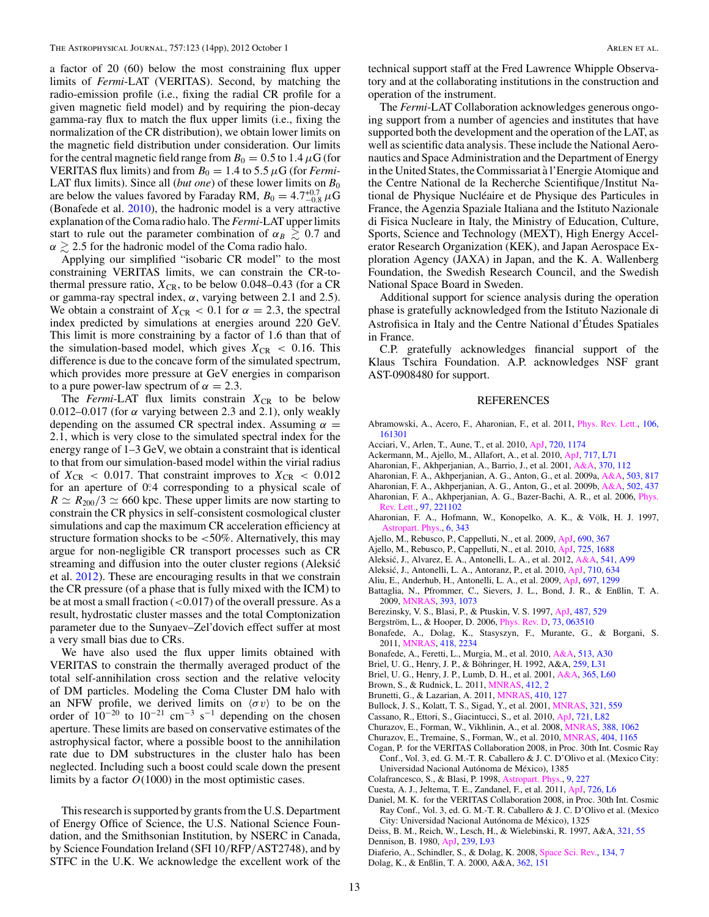<span id="page-13-0"></span>a factor of 20 (60) below the most constraining flux upper limits of *Fermi*-LAT (VERITAS). Second, by matching the radio-emission profile (i.e., fixing the radial CR profile for a given magnetic field model) and by requiring the pion-decay gamma-ray flux to match the flux upper limits (i.e., fixing the normalization of the CR distribution), we obtain lower limits on the magnetic field distribution under consideration. Our limits for the central magnetic field range from  $B_0 = 0.5$  to 1.4  $\mu$ G (for **VERITAS** flux limits) and from  $B_0 = 1.4$  to 5.5  $\mu$ G (for *Fermi*-LAT flux limits). Since all (*but one*) of these lower limits on  $B_0$ are below the values favored by Faraday RM,  $B_0 = 4.7^{+0.7}_{-0.8} \mu\text{G}$ (Bonafede et al. 2010), the hadronic model is a very attractive explanation of the Coma radio halo. The *Fermi*-LAT upper limits start to rule out the parameter combination of  $\alpha_B \geq 0.7$  and  $\alpha \gtrsim 2.5$  for the hadronic model of the Coma radio halo.

Applying our simplified "isobaric CR model" to the most constraining VERITAS limits, we can constrain the CR-tothermal pressure ratio,  $X_{CR}$ , to be below 0.048–0.43 (for a CR or gamma-ray spectral index, *α*, varying between 2.1 and 2.5). We obtain a constraint of  $X_{CR} < 0.1$  for  $\alpha = 2.3$ , the spectral index predicted by simulations at energies around 220 GeV. This limit is more constraining by a factor of 1.6 than that of the simulation-based model, which gives  $X_{CR} < 0.16$ . This difference is due to the concave form of the simulated spectrum, which provides more pressure at GeV energies in comparison to a pure power-law spectrum of  $\alpha = 2.3$ .

The *Fermi*-LAT flux limits constrain  $X_{CR}$  to be below 0.012–0.017 (for *α* varying between 2.3 and 2.1), only weakly depending on the assumed CR spectral index. Assuming  $\alpha$  = 2*.*1, which is very close to the simulated spectral index for the energy range of 1–3 GeV, we obtain a constraint that is identical to that from our simulation-based model within the virial radius of  $X_{CR}$  < 0.017. That constraint improves to  $X_{CR}$  < 0.012 for an aperture of 0°.4 corresponding to a physical scale of  $R \simeq R_{200}/3 \simeq 660$  kpc. These upper limits are now starting to constrain the CR physics in self-consistent cosmological cluster simulations and cap the maximum CR acceleration efficiency at structure formation shocks to be *<*50%. Alternatively, this may argue for non-negligible CR transport processes such as CR streaming and diffusion into the outer cluster regions (Aleksic´ et al. 2012). These are encouraging results in that we constrain the CR pressure (of a phase that is fully mixed with the ICM) to be at most a small fraction (*<*0*.*017) of the overall pressure. As a result, hydrostatic cluster masses and the total Comptonization parameter due to the Sunyaev–Zel'dovich effect suffer at most a very small bias due to CRs.

We have also used the flux upper limits obtained with VERITAS to constrain the thermally averaged product of the total self-annihilation cross section and the relative velocity of DM particles. Modeling the Coma Cluster DM halo with an NFW profile, we derived limits on  $\langle \sigma v \rangle$  to be on the order of 10<sup>-20</sup> to 10<sup>-21</sup> cm<sup>-3</sup> s<sup>-1</sup> depending on the chosen aperture. These limits are based on conservative estimates of the astrophysical factor, where a possible boost to the annihilation rate due to DM substructures in the cluster halo has been neglected. Including such a boost could scale down the present limits by a factor *O*(1000) in the most optimistic cases.

This research is supported by grants from the U.S. Department of Energy Office of Science, the U.S. National Science Foundation, and the Smithsonian Institution, by NSERC in Canada, by Science Foundation Ireland (SFI 10*/*RFP*/*AST2748), and by STFC in the U.K. We acknowledge the excellent work of the

technical support staff at the Fred Lawrence Whipple Observatory and at the collaborating institutions in the construction and operation of the instrument.

The *Fermi*-LAT Collaboration acknowledges generous ongoing support from a number of agencies and institutes that have supported both the development and the operation of the LAT, as well as scientific data analysis. These include the National Aeronautics and Space Administration and the Department of Energy in the United States, the Commissariat a l'Energie Atomique and ` the Centre National de la Recherche Scientifique*/*Institut National de Physique Nucléaire et de Physique des Particules in France, the Agenzia Spaziale Italiana and the Istituto Nazionale di Fisica Nucleare in Italy, the Ministry of Education, Culture, Sports, Science and Technology (MEXT), High Energy Accelerator Research Organization (KEK), and Japan Aerospace Exploration Agency (JAXA) in Japan, and the K. A. Wallenberg Foundation, the Swedish Research Council, and the Swedish National Space Board in Sweden.

Additional support for science analysis during the operation phase is gratefully acknowledged from the Istituto Nazionale di Astrofisica in Italy and the Centre National d'Etudes Spatiales ´ in France.

C.P. gratefully acknowledges financial support of the Klaus Tschira Foundation. A.P. acknowledges NSF grant AST-0908480 for support.

#### REFERENCES

- Abramowski, A., Acero, F., Aharonian, F., et al. 2011, [Phys. Rev. Lett.,](http://dx.doi.org/10.1103/PhysRevLett.106.161301) [106,](http://adsabs.harvard.edu/abs/2011PhRvL.106p1301A) [161301](http://adsabs.harvard.edu/abs/2011PhRvL.106p1301A)
- Acciari, V., Arlen, T., Aune, T., et al. 2010, [ApJ,](http://dx.doi.org/10.1088/0004-637X/720/2/1174) [720, 1174](http://adsabs.harvard.edu/abs/2010ApJ...720.1174A)
- Ackermann, M., Ajello, M., Allafort, A., et al. 2010, [ApJ,](http://dx.doi.org/10.1088/2041-8205/717/1/L71) [717, L71](http://adsabs.harvard.edu/abs/2010ApJ...717L..71A)
- Aharonian, F., Akhperjanian, A., Barrio, J., et al. 2001, [A&A,](http://dx.doi.org/10.1051/0004-6361:20010243) [370, 112](http://adsabs.harvard.edu/abs/2001A&A...370..112A)
- Aharonian, F. A., Akhperjanian, A. G., Anton, G., et al. 2009a, [A&A,](http://dx.doi.org/10.1051/0004-6361/200811569) [503, 817](http://adsabs.harvard.edu/abs/2009A&A...503..817A)
- Aharonian, F. A., Akhperjanian, A. G., Anton, G., et al. 2009b, [A&A,](http://dx.doi.org/10.1051/0004-6361/200912086) [502, 437](http://adsabs.harvard.edu/abs/2009A&A...502..437A)
- Aharonian, F. A., Akhperjanian, A. G., Bazer-Bachi, A. R., et al. 2006, [Phys.](http://dx.doi.org/10.1103/PhysRevLett.97.221102) [Rev. Lett.,](http://dx.doi.org/10.1103/PhysRevLett.97.221102) [97, 221102](http://adsabs.harvard.edu/abs/2006PhRvL..97v1102A)
- Aharonian, F. A., Hofmann, W., Konopelko, A. K., & Völk, H. J. 1997, [Astropart. Phys.,](http://dx.doi.org/10.1016/S0927-6505(96)00069-2) [6, 343](http://adsabs.harvard.edu/abs/1997APh.....6..343A)
- Ajello, M., Rebusco, P., Cappelluti, N., et al. 2009, [ApJ,](http://dx.doi.org/10.1088/0004-637X/690/1/367) [690, 367](http://adsabs.harvard.edu/abs/2009ApJ...690..367A)
- Ajello, M., Rebusco, P., Cappelluti, N., et al. 2010, [ApJ,](http://dx.doi.org/10.1088/0004-637X/725/2/1688) [725, 1688](http://adsabs.harvard.edu/abs/2010ApJ...725.1688A)
- Aleksić, J., Alvarez, E. A., Antonelli, L. A., et al. 2012, [A&A,](http://dx.doi.org/10.1051/0004-6361/201118502) [541, A99](http://adsabs.harvard.edu/abs/2012A&A...541A..99A)
- Aleksić, J., Antonelli, L. A., Antoranz, P., et al. 2010, [ApJ,](http://dx.doi.org/10.1088/0004-637X/710/1/634) [710, 634](http://adsabs.harvard.edu/abs/2010ApJ...710..634A)
- Aliu, E., Anderhub, H., Antonelli, L. A., et al. 2009, [ApJ,](http://dx.doi.org/10.1088/0004-637X/697/2/1299) [697, 1299](http://adsabs.harvard.edu/abs/2009ApJ...697.1299A)
- Battaglia, N., Pfrommer, C., Sievers, J. L., Bond, J. R., & Enßlin, T. A. 2009, [MNRAS,](http://dx.doi.org/10.1111/j.1365-2966.2008.14136.x) [393, 1073](http://adsabs.harvard.edu/abs/2009MNRAS.393.1073B)
- Berezinsky, V. S., Blasi, P., & Ptuskin, V. S. 1997, [ApJ,](http://dx.doi.org/10.1086/304622) [487, 529](http://adsabs.harvard.edu/abs/1997ApJ...487..529B)
- Bergström, L., & Hooper, D. 2006, *[Phys. Rev. D,](http://dx.doi.org/10.1103/PhysRevD.73.063510) [73, 063510](http://adsabs.harvard.edu/abs/2006PhRvD..73f3510B)*
- Bonafede, A., Dolag, K., Stasyszyn, F., Murante, G., & Borgani, S. 2011, [MNRAS,](http://dx.doi.org/10.1111/j.1365-2966.2011.19523.x) [418, 2234](http://adsabs.harvard.edu/abs/2011MNRAS.418.2234B)
- Bonafede, A., Feretti, L., Murgia, M., et al. 2010, [A&A,](http://dx.doi.org/10.1051/0004-6361/200913696) [513, A30](http://adsabs.harvard.edu/abs/2010A&A...513A..30B)
- Briel, U. G., Henry, J. P., & Böhringer, H. 1992, A&A, [259, L31](http://adsabs.harvard.edu/abs/1992A&A...259L..31B)
- Briel, U. G., Henry, J. P., Lumb, D. H., et al. 2001, [A&A,](http://dx.doi.org/10.1051/0004-6361:20000024) [365, L60](http://adsabs.harvard.edu/abs/2001A&A...365L..60B)
- Brown, S., & Rudnick, L. 2011, [MNRAS,](http://dx.doi.org/10.1111/j.1365-2966.2010.17738.x) [412, 2](http://adsabs.harvard.edu/abs/2011MNRAS.412....2B)
- Brunetti, G., & Lazarian, A. 2011, [MNRAS,](http://dx.doi.org/10.1111/j.1365-2966.2010.17457.x) [410, 127](http://adsabs.harvard.edu/abs/2011MNRAS.410..127B)
- Bullock, J. S., Kolatt, T. S., Sigad, Y., et al. 2001, [MNRAS,](http://dx.doi.org/10.1046/j.1365-8711.2001.04068.x) [321, 559](http://adsabs.harvard.edu/abs/2001MNRAS.321..559B)
- Cassano, R., Ettori, S., Giacintucci, S., et al. 2010, [ApJ,](http://dx.doi.org/10.1088/2041-8205/721/2/L82) [721, L82](http://adsabs.harvard.edu/abs/2010ApJ...721L..82C)
- Churazov, E., Forman, W., Vikhlinin, A., et al. 2008, [MNRAS,](http://dx.doi.org/10.1111/j.1365-2966.2008.13507.x) [388, 1062](http://adsabs.harvard.edu/abs/2008MNRAS.388.1062C)
- Churazov, E., Tremaine, S., Forman, W., et al. 2010, [MNRAS,](http://dx.doi.org/10.1111/j.1365-2966.2010.16377.x) [404, 1165](http://adsabs.harvard.edu/abs/2010MNRAS.404.1165C)
- Cogan, P. for the VERITAS Collaboration 2008, in Proc. 30th Int. Cosmic Ray Conf., Vol. 3, ed. G. M.-T. R. Caballero & J. C. D'Olivo et al. (Mexico City: Universidad Nacional Autónoma de México), 1385
- Colafrancesco, S., & Blasi, P. 1998, [Astropart. Phys.,](http://dx.doi.org/10.1016/S0927-6505(98)00018-8) [9, 227](http://adsabs.harvard.edu/abs/1998APh.....9..227C)
- Cuesta, A. J., Jeltema, T. E., Zandanel, F., et al. 2011, [ApJ,](http://dx.doi.org/10.1088/2041-8205/726/1/L6) [726, L6](http://adsabs.harvard.edu/abs/2011ApJ...726L...6C)
- Daniel, M. K. for the VERITAS Collaboration 2008, in Proc. 30th Int. Cosmic
- Ray Conf., Vol. 3, ed. G. M.-T. R. Caballero & J. C. D'Olivo et al. (Mexico City: Universidad Nacional Autónoma de México), 1325
- Deiss, B. M., Reich, W., Lesch, H., & Wielebinski, R. 1997, A&A, [321, 55](http://adsabs.harvard.edu/abs/1997A&A...321...55D) Dennison, B. 1980, [ApJ,](http://dx.doi.org/10.1086/183300) [239, L93](http://adsabs.harvard.edu/abs/1980ApJ...239L..93D)
- 
- Diaferio, A., Schindler, S., & Dolag, K. 2008, [Space Sci. Rev.,](http://dx.doi.org/10.1007/s11214-008-9324-5) [134, 7](http://adsabs.harvard.edu/abs/2008SSRv..134....7D) Dolag, K., & Enßlin, T. A. 2000, A&A, [362, 151](http://adsabs.harvard.edu/abs/2000A&A...362..151D)
	-